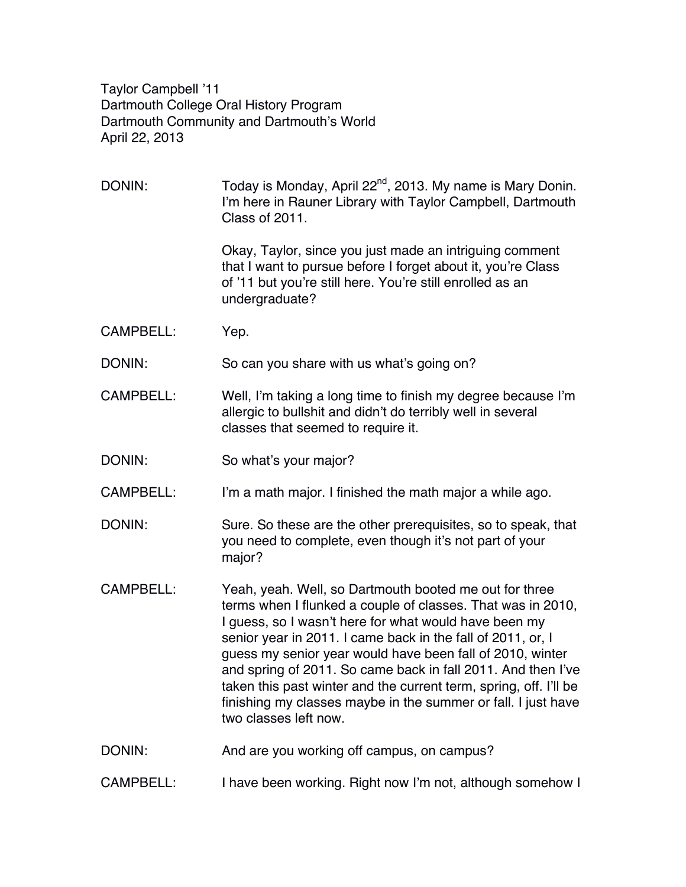Taylor Campbell '11 Dartmouth College Oral History Program Dartmouth Community and Dartmouth's World April 22, 2013

DONIN: Today is Monday, April  $22^{nd}$ , 2013. My name is Mary Donin. I'm here in Rauner Library with Taylor Campbell, Dartmouth Class of 2011. Okay, Taylor, since you just made an intriguing comment that I want to pursue before I forget about it, you're Class of '11 but you're still here. You're still enrolled as an undergraduate? CAMPBELL: Yep. DONIN: So can you share with us what's going on? CAMPBELL: Well, I'm taking a long time to finish my degree because I'm allergic to bullshit and didn't do terribly well in several classes that seemed to require it. DONIN: So what's your major? CAMPBELL: I'm a math major. I finished the math major a while ago. DONIN: Sure. So these are the other prerequisites, so to speak, that you need to complete, even though it's not part of your major? CAMPBELL: Yeah, yeah. Well, so Dartmouth booted me out for three terms when I flunked a couple of classes. That was in 2010, I guess, so I wasn't here for what would have been my senior year in 2011. I came back in the fall of 2011, or, I guess my senior year would have been fall of 2010, winter and spring of 2011. So came back in fall 2011. And then I've taken this past winter and the current term, spring, off. I'll be finishing my classes maybe in the summer or fall. I just have two classes left now. DONIN: And are you working off campus, on campus? CAMPBELL: I have been working. Right now I'm not, although somehow I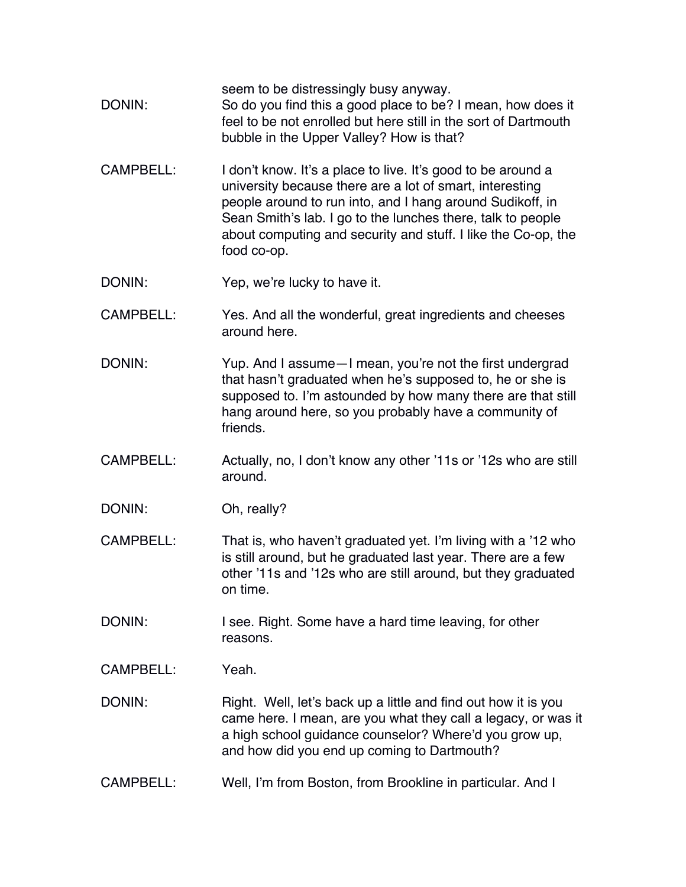seem to be distressingly busy anyway. DONIN: So do you find this a good place to be? I mean, how does it feel to be not enrolled but here still in the sort of Dartmouth bubble in the Upper Valley? How is that? CAMPBELL: I don't know. It's a place to live. It's good to be around a university because there are a lot of smart, interesting people around to run into, and I hang around Sudikoff, in Sean Smith's lab. I go to the lunches there, talk to people about computing and security and stuff. I like the Co-op, the food co-op. DONIN: Yep, we're lucky to have it. CAMPBELL: Yes. And all the wonderful, great ingredients and cheeses around here. DONIN: Yup. And I assume - I mean, you're not the first undergrad that hasn't graduated when he's supposed to, he or she is supposed to. I'm astounded by how many there are that still hang around here, so you probably have a community of friends. CAMPBELL: Actually, no, I don't know any other '11s or '12s who are still around. DONIN: Oh, really? CAMPBELL: That is, who haven't graduated yet. I'm living with a '12 who is still around, but he graduated last year. There are a few other '11s and '12s who are still around, but they graduated on time. DONIN: I see. Right. Some have a hard time leaving, for other reasons. CAMPBELL: Yeah. DONIN: Right. Well, let's back up a little and find out how it is you came here. I mean, are you what they call a legacy, or was it a high school guidance counselor? Where'd you grow up, and how did you end up coming to Dartmouth? CAMPBELL: Well, I'm from Boston, from Brookline in particular. And I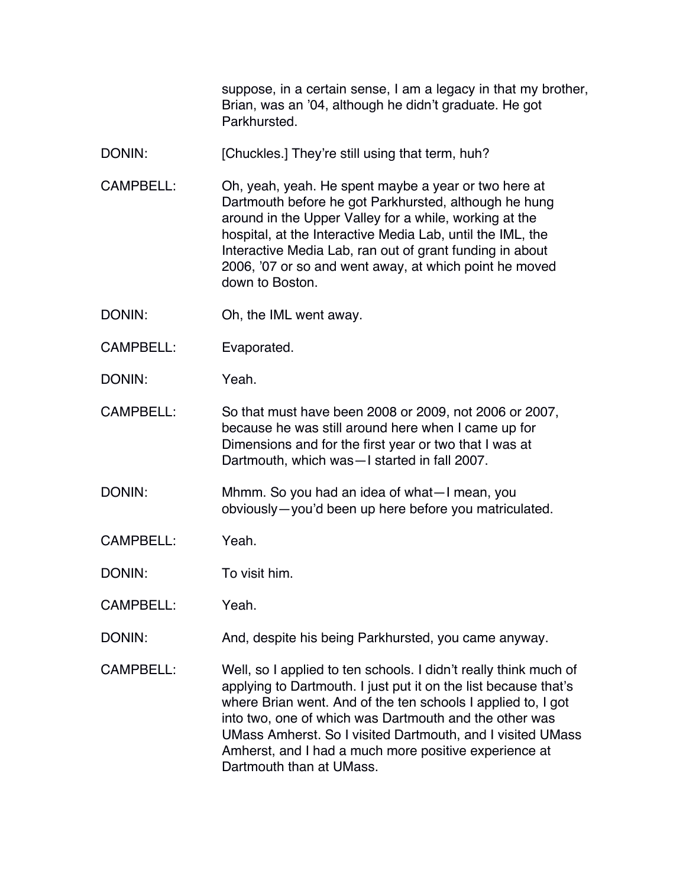suppose, in a certain sense, I am a legacy in that my brother, Brian, was an '04, although he didn't graduate. He got Parkhursted.

- DONIN: [Chuckles.] They're still using that term, huh?
- CAMPBELL: Oh, yeah, yeah. He spent maybe a year or two here at Dartmouth before he got Parkhursted, although he hung around in the Upper Valley for a while, working at the hospital, at the Interactive Media Lab, until the IML, the Interactive Media Lab, ran out of grant funding in about 2006, '07 or so and went away, at which point he moved down to Boston.
- DONIN: Oh, the IML went away.
- CAMPBELL: Evaporated.
- DONIN: Yeah.

CAMPBELL: So that must have been 2008 or 2009, not 2006 or 2007, because he was still around here when I came up for Dimensions and for the first year or two that I was at Dartmouth, which was—I started in fall 2007.

- DONIN: Mhmm. So you had an idea of what—I mean, you obviously—you'd been up here before you matriculated.
- CAMPBELL: Yeah.

DONIN: To visit him.

CAMPBELL: Yeah.

DONIN: And, despite his being Parkhursted, you came anyway.

CAMPBELL: Well, so I applied to ten schools. I didn't really think much of applying to Dartmouth. I just put it on the list because that's where Brian went. And of the ten schools I applied to, I got into two, one of which was Dartmouth and the other was UMass Amherst. So I visited Dartmouth, and I visited UMass Amherst, and I had a much more positive experience at Dartmouth than at UMass.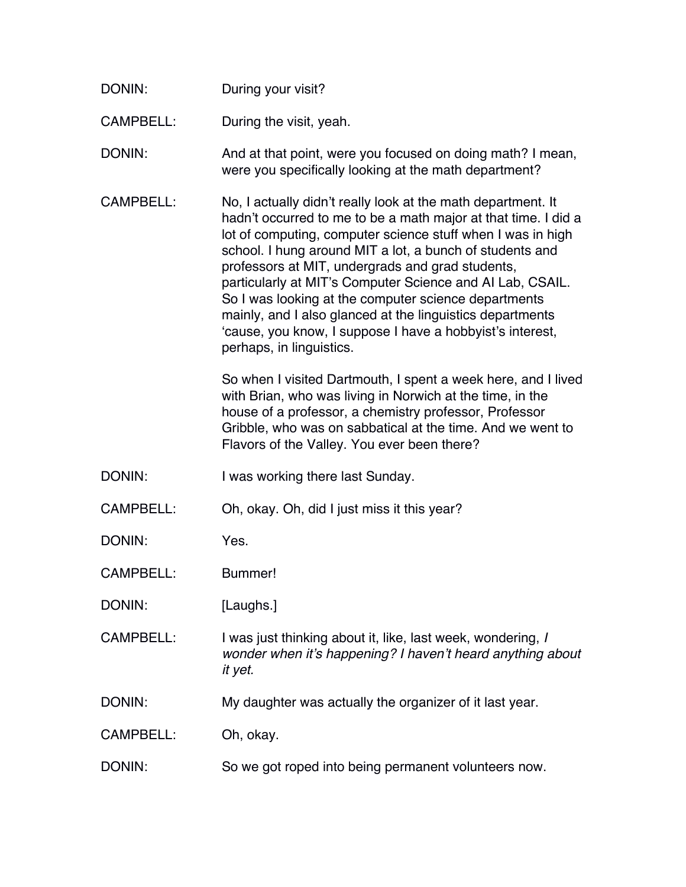| DONIN:           | During your visit?                                                                                                                                                                                                                                                                                                                                                                                                                                                                                                                                                                       |
|------------------|------------------------------------------------------------------------------------------------------------------------------------------------------------------------------------------------------------------------------------------------------------------------------------------------------------------------------------------------------------------------------------------------------------------------------------------------------------------------------------------------------------------------------------------------------------------------------------------|
| CAMPBELL:        | During the visit, yeah.                                                                                                                                                                                                                                                                                                                                                                                                                                                                                                                                                                  |
| DONIN:           | And at that point, were you focused on doing math? I mean,<br>were you specifically looking at the math department?                                                                                                                                                                                                                                                                                                                                                                                                                                                                      |
| <b>CAMPBELL:</b> | No, I actually didn't really look at the math department. It<br>hadn't occurred to me to be a math major at that time. I did a<br>lot of computing, computer science stuff when I was in high<br>school. I hung around MIT a lot, a bunch of students and<br>professors at MIT, undergrads and grad students,<br>particularly at MIT's Computer Science and AI Lab, CSAIL.<br>So I was looking at the computer science departments<br>mainly, and I also glanced at the linguistics departments<br>'cause, you know, I suppose I have a hobbyist's interest,<br>perhaps, in linguistics. |
|                  | So when I visited Dartmouth, I spent a week here, and I lived<br>with Brian, who was living in Norwich at the time, in the<br>house of a professor, a chemistry professor, Professor<br>Gribble, who was on sabbatical at the time. And we went to<br>Flavors of the Valley. You ever been there?                                                                                                                                                                                                                                                                                        |
| DONIN:           | I was working there last Sunday.                                                                                                                                                                                                                                                                                                                                                                                                                                                                                                                                                         |
| <b>CAMPBELL:</b> | Oh, okay. Oh, did I just miss it this year?                                                                                                                                                                                                                                                                                                                                                                                                                                                                                                                                              |
| DONIN:           | Yes.                                                                                                                                                                                                                                                                                                                                                                                                                                                                                                                                                                                     |
| <b>CAMPBELL:</b> | Bummer!                                                                                                                                                                                                                                                                                                                                                                                                                                                                                                                                                                                  |
| DONIN:           | [Laughs.]                                                                                                                                                                                                                                                                                                                                                                                                                                                                                                                                                                                |
| <b>CAMPBELL:</b> | I was just thinking about it, like, last week, wondering, I<br>wonder when it's happening? I haven't heard anything about<br>it yet.                                                                                                                                                                                                                                                                                                                                                                                                                                                     |
| DONIN:           | My daughter was actually the organizer of it last year.                                                                                                                                                                                                                                                                                                                                                                                                                                                                                                                                  |
| <b>CAMPBELL:</b> | Oh, okay.                                                                                                                                                                                                                                                                                                                                                                                                                                                                                                                                                                                |
| DONIN:           | So we got roped into being permanent volunteers now.                                                                                                                                                                                                                                                                                                                                                                                                                                                                                                                                     |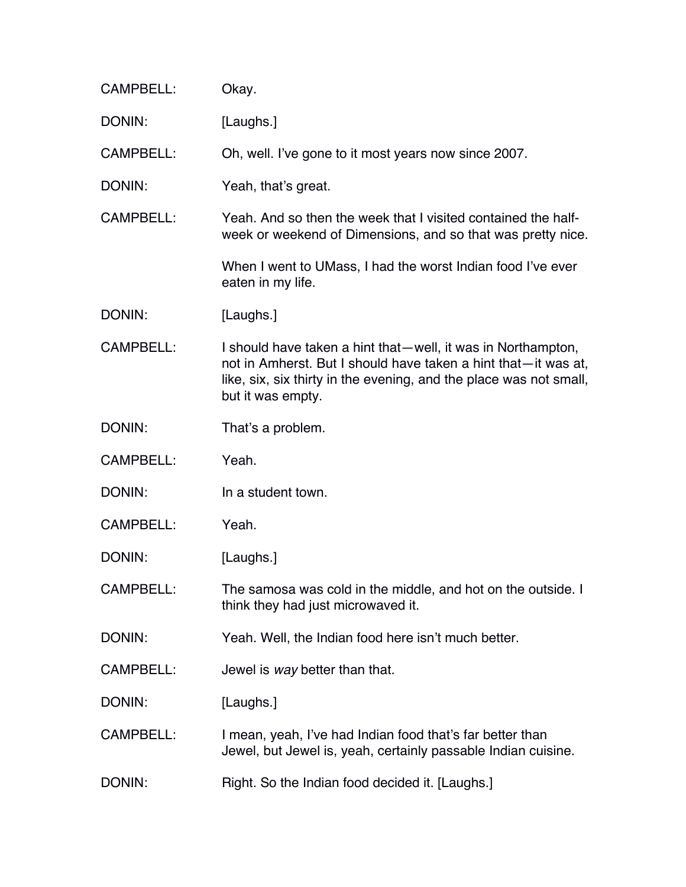| <b>CAMPBELL:</b> | Okay.                                                                                                                                                                                                                     |
|------------------|---------------------------------------------------------------------------------------------------------------------------------------------------------------------------------------------------------------------------|
| DONIN:           | [Laughs.]                                                                                                                                                                                                                 |
| CAMPBELL:        | Oh, well. I've gone to it most years now since 2007.                                                                                                                                                                      |
| DONIN:           | Yeah, that's great.                                                                                                                                                                                                       |
| <b>CAMPBELL:</b> | Yeah. And so then the week that I visited contained the half-<br>week or weekend of Dimensions, and so that was pretty nice.                                                                                              |
|                  | When I went to UMass, I had the worst Indian food I've ever<br>eaten in my life.                                                                                                                                          |
| DONIN:           | [Laughs.]                                                                                                                                                                                                                 |
| <b>CAMPBELL:</b> | I should have taken a hint that—well, it was in Northampton,<br>not in Amherst. But I should have taken a hint that—it was at,<br>like, six, six thirty in the evening, and the place was not small,<br>but it was empty. |
| DONIN:           | That's a problem.                                                                                                                                                                                                         |
| <b>CAMPBELL:</b> | Yeah.                                                                                                                                                                                                                     |
| DONIN:           | In a student town.                                                                                                                                                                                                        |
| <b>CAMPBELL:</b> | Yeah.                                                                                                                                                                                                                     |
| DONIN:           | [Laughs.]                                                                                                                                                                                                                 |
| <b>CAMPBELL:</b> | The samosa was cold in the middle, and hot on the outside. I<br>think they had just microwaved it.                                                                                                                        |
| DONIN:           | Yeah. Well, the Indian food here isn't much better.                                                                                                                                                                       |
| <b>CAMPBELL:</b> | Jewel is way better than that.                                                                                                                                                                                            |
| DONIN:           | [Laughs.]                                                                                                                                                                                                                 |
| <b>CAMPBELL:</b> | I mean, yeah, I've had Indian food that's far better than<br>Jewel, but Jewel is, yeah, certainly passable Indian cuisine.                                                                                                |
| DONIN:           | Right. So the Indian food decided it. [Laughs.]                                                                                                                                                                           |
|                  |                                                                                                                                                                                                                           |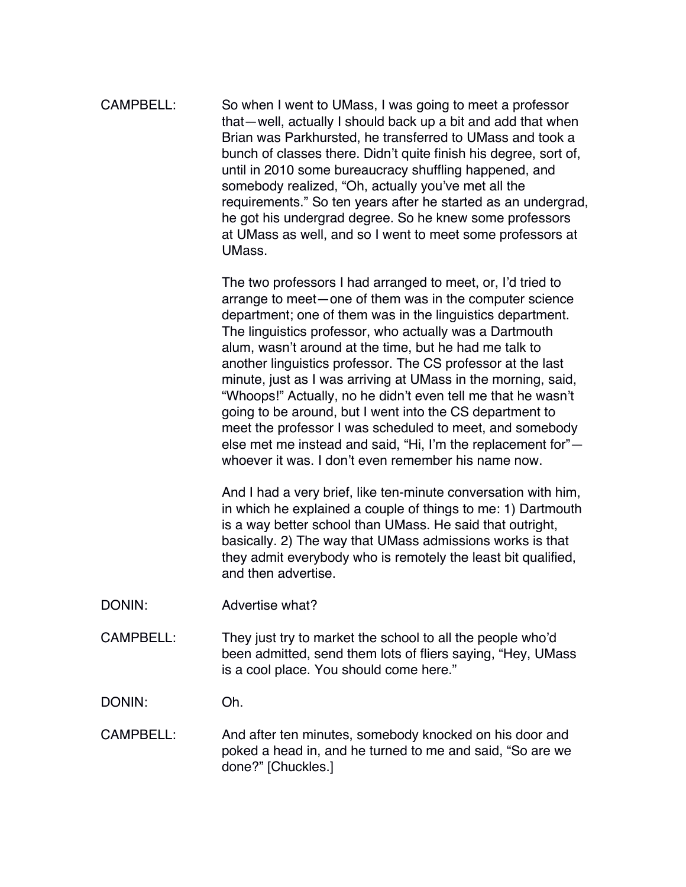CAMPBELL: So when I went to UMass, I was going to meet a professor that—well, actually I should back up a bit and add that when Brian was Parkhursted, he transferred to UMass and took a bunch of classes there. Didn't quite finish his degree, sort of, until in 2010 some bureaucracy shuffling happened, and somebody realized, "Oh, actually you've met all the requirements." So ten years after he started as an undergrad, he got his undergrad degree. So he knew some professors at UMass as well, and so I went to meet some professors at UMass.

> The two professors I had arranged to meet, or, I'd tried to arrange to meet—one of them was in the computer science department; one of them was in the linguistics department. The linguistics professor, who actually was a Dartmouth alum, wasn't around at the time, but he had me talk to another linguistics professor. The CS professor at the last minute, just as I was arriving at UMass in the morning, said, "Whoops!" Actually, no he didn't even tell me that he wasn't going to be around, but I went into the CS department to meet the professor I was scheduled to meet, and somebody else met me instead and said, "Hi, I'm the replacement for" whoever it was. I don't even remember his name now.

> And I had a very brief, like ten-minute conversation with him, in which he explained a couple of things to me: 1) Dartmouth is a way better school than UMass. He said that outright, basically. 2) The way that UMass admissions works is that they admit everybody who is remotely the least bit qualified, and then advertise.

- DONIN: Advertise what?
- CAMPBELL: They just try to market the school to all the people who'd been admitted, send them lots of fliers saying, "Hey, UMass is a cool place. You should come here."

DONIN: Oh.

CAMPBELL: And after ten minutes, somebody knocked on his door and poked a head in, and he turned to me and said, "So are we done?" [Chuckles.]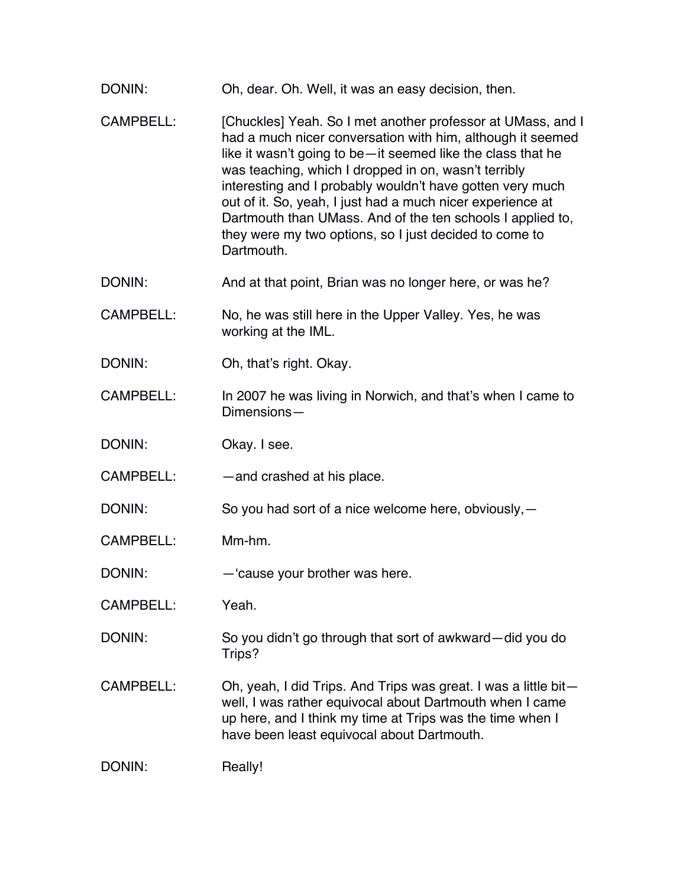- DONIN: Oh, dear. Oh. Well, it was an easy decision, then.
- CAMPBELL: [Chuckles] Yeah. So I met another professor at UMass, and I had a much nicer conversation with him, although it seemed like it wasn't going to be—it seemed like the class that he was teaching, which I dropped in on, wasn't terribly interesting and I probably wouldn't have gotten very much out of it. So, yeah, I just had a much nicer experience at Dartmouth than UMass. And of the ten schools I applied to, they were my two options, so I just decided to come to Dartmouth.
- DONIN: And at that point, Brian was no longer here, or was he?
- CAMPBELL: No, he was still here in the Upper Valley. Yes, he was working at the IML.
- DONIN: Oh, that's right. Okay.
- CAMPBELL: In 2007 he was living in Norwich, and that's when I came to Dimensions—
- DONIN: Okav. I see.
- CAMPBELL: — and crashed at his place.
- DONIN: So you had sort of a nice welcome here, obviously, -
- CAMPBELL: Mm-hm.
- DONIN: —'cause your brother was here.
- CAMPBELL: Yeah.
- DONIN: So you didn't go through that sort of awkward—did you do Trips?
- CAMPBELL: Oh, yeah, I did Trips. And Trips was great. I was a little bit well, I was rather equivocal about Dartmouth when I came up here, and I think my time at Trips was the time when I have been least equivocal about Dartmouth.

DONIN: Really!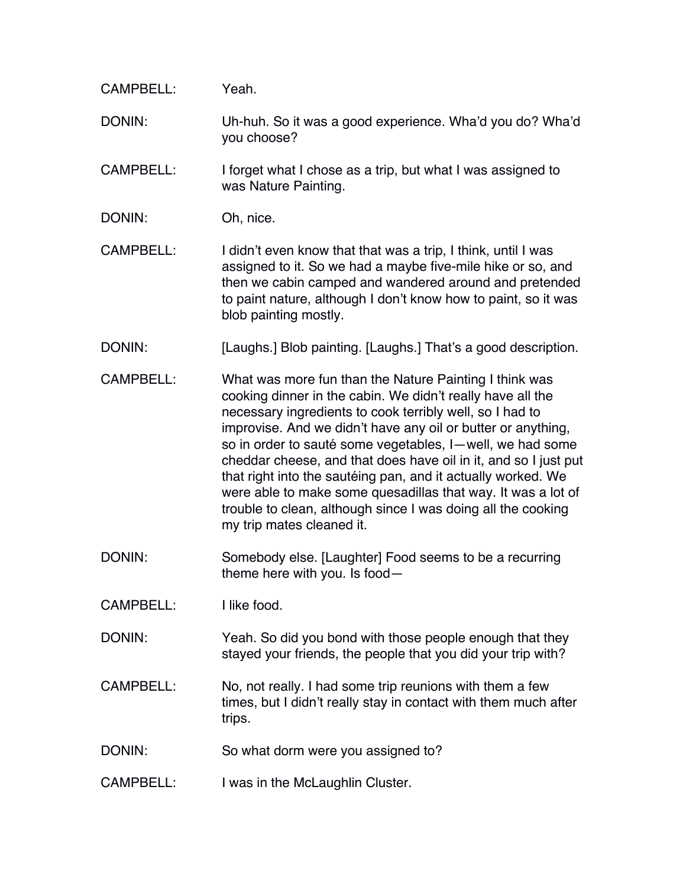| <b>CAMPBELL:</b> | Yeah.                                                                                                                                                                                                                                                                                                                                                                                                                                                                                                                                                                                                         |
|------------------|---------------------------------------------------------------------------------------------------------------------------------------------------------------------------------------------------------------------------------------------------------------------------------------------------------------------------------------------------------------------------------------------------------------------------------------------------------------------------------------------------------------------------------------------------------------------------------------------------------------|
| DONIN:           | Uh-huh. So it was a good experience. Wha'd you do? Wha'd<br>you choose?                                                                                                                                                                                                                                                                                                                                                                                                                                                                                                                                       |
| <b>CAMPBELL:</b> | I forget what I chose as a trip, but what I was assigned to<br>was Nature Painting.                                                                                                                                                                                                                                                                                                                                                                                                                                                                                                                           |
| DONIN:           | Oh, nice.                                                                                                                                                                                                                                                                                                                                                                                                                                                                                                                                                                                                     |
| CAMPBELL:        | I didn't even know that that was a trip, I think, until I was<br>assigned to it. So we had a maybe five-mile hike or so, and<br>then we cabin camped and wandered around and pretended<br>to paint nature, although I don't know how to paint, so it was<br>blob painting mostly.                                                                                                                                                                                                                                                                                                                             |
| DONIN:           | [Laughs.] Blob painting. [Laughs.] That's a good description.                                                                                                                                                                                                                                                                                                                                                                                                                                                                                                                                                 |
| <b>CAMPBELL:</b> | What was more fun than the Nature Painting I think was<br>cooking dinner in the cabin. We didn't really have all the<br>necessary ingredients to cook terribly well, so I had to<br>improvise. And we didn't have any oil or butter or anything,<br>so in order to sauté some vegetables, I-well, we had some<br>cheddar cheese, and that does have oil in it, and so I just put<br>that right into the sautéing pan, and it actually worked. We<br>were able to make some quesadillas that way. It was a lot of<br>trouble to clean, although since I was doing all the cooking<br>my trip mates cleaned it. |
| DONIN:           | Somebody else. [Laughter] Food seems to be a recurring<br>theme here with you. Is food-                                                                                                                                                                                                                                                                                                                                                                                                                                                                                                                       |
| CAMPBELL:        | I like food.                                                                                                                                                                                                                                                                                                                                                                                                                                                                                                                                                                                                  |
| DONIN:           | Yeah. So did you bond with those people enough that they<br>stayed your friends, the people that you did your trip with?                                                                                                                                                                                                                                                                                                                                                                                                                                                                                      |
| <b>CAMPBELL:</b> | No, not really. I had some trip reunions with them a few<br>times, but I didn't really stay in contact with them much after<br>trips.                                                                                                                                                                                                                                                                                                                                                                                                                                                                         |
| DONIN:           | So what dorm were you assigned to?                                                                                                                                                                                                                                                                                                                                                                                                                                                                                                                                                                            |
| CAMPBELL:        | I was in the McLaughlin Cluster.                                                                                                                                                                                                                                                                                                                                                                                                                                                                                                                                                                              |
|                  |                                                                                                                                                                                                                                                                                                                                                                                                                                                                                                                                                                                                               |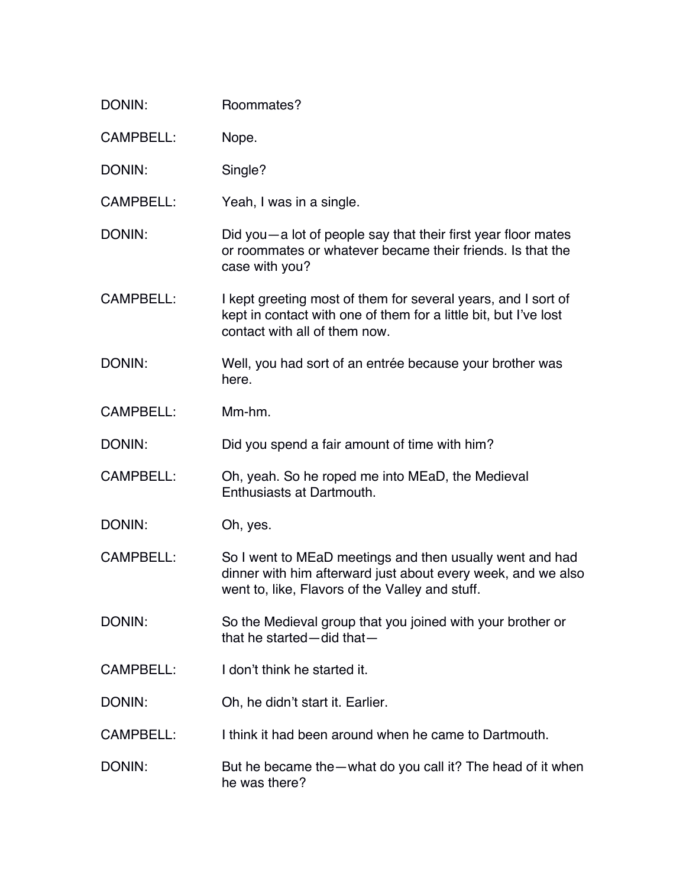| <b>DONIN:</b>    | Roommates?                                                                                                                                                                  |
|------------------|-----------------------------------------------------------------------------------------------------------------------------------------------------------------------------|
| <b>CAMPBELL:</b> | Nope.                                                                                                                                                                       |
| DONIN:           | Single?                                                                                                                                                                     |
| <b>CAMPBELL:</b> | Yeah, I was in a single.                                                                                                                                                    |
| DONIN:           | Did you — a lot of people say that their first year floor mates<br>or roommates or whatever became their friends. Is that the<br>case with you?                             |
| <b>CAMPBELL:</b> | I kept greeting most of them for several years, and I sort of<br>kept in contact with one of them for a little bit, but I've lost<br>contact with all of them now.          |
| DONIN:           | Well, you had sort of an entrée because your brother was<br>here.                                                                                                           |
| <b>CAMPBELL:</b> | Mm-hm.                                                                                                                                                                      |
| DONIN:           | Did you spend a fair amount of time with him?                                                                                                                               |
| <b>CAMPBELL:</b> | Oh, yeah. So he roped me into MEaD, the Medieval<br>Enthusiasts at Dartmouth.                                                                                               |
| DONIN:           | Oh, yes.                                                                                                                                                                    |
| CAMPBELL:        | So I went to MEaD meetings and then usually went and had<br>dinner with him afterward just about every week, and we also<br>went to, like, Flavors of the Valley and stuff. |
| DONIN:           | So the Medieval group that you joined with your brother or<br>that he started-did that-                                                                                     |
| <b>CAMPBELL:</b> | I don't think he started it.                                                                                                                                                |
| DONIN:           | Oh, he didn't start it. Earlier.                                                                                                                                            |
| CAMPBELL:        | I think it had been around when he came to Dartmouth.                                                                                                                       |
| DONIN:           | But he became the—what do you call it? The head of it when<br>he was there?                                                                                                 |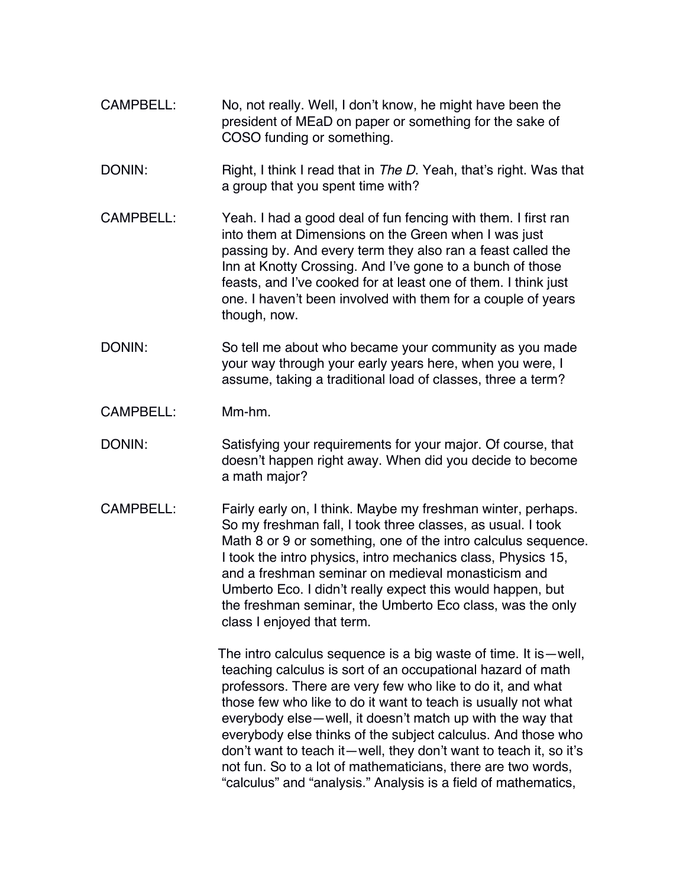- CAMPBELL: No, not really. Well, I don't know, he might have been the president of MEaD on paper or something for the sake of COSO funding or something.
- DONIN: Right, I think I read that in *The D*. Yeah, that's right. Was that a group that you spent time with?
- CAMPBELL: Yeah. I had a good deal of fun fencing with them. I first ran into them at Dimensions on the Green when I was just passing by. And every term they also ran a feast called the Inn at Knotty Crossing. And I've gone to a bunch of those feasts, and I've cooked for at least one of them. I think just one. I haven't been involved with them for a couple of years though, now.
- DONIN: So tell me about who became your community as you made your way through your early years here, when you were, I assume, taking a traditional load of classes, three a term?
- CAMPBELL: Mm-hm.
- DONIN: Satisfying your requirements for your major. Of course, that doesn't happen right away. When did you decide to become a math major?
- CAMPBELL: Fairly early on, I think. Maybe my freshman winter, perhaps. So my freshman fall, I took three classes, as usual. I took Math 8 or 9 or something, one of the intro calculus sequence. I took the intro physics, intro mechanics class, Physics 15, and a freshman seminar on medieval monasticism and Umberto Eco. I didn't really expect this would happen, but the freshman seminar, the Umberto Eco class, was the only class I enjoyed that term.

The intro calculus sequence is a big waste of time. It is—well, teaching calculus is sort of an occupational hazard of math professors. There are very few who like to do it, and what those few who like to do it want to teach is usually not what everybody else—well, it doesn't match up with the way that everybody else thinks of the subject calculus. And those who don't want to teach it—well, they don't want to teach it, so it's not fun. So to a lot of mathematicians, there are two words, "calculus" and "analysis." Analysis is a field of mathematics,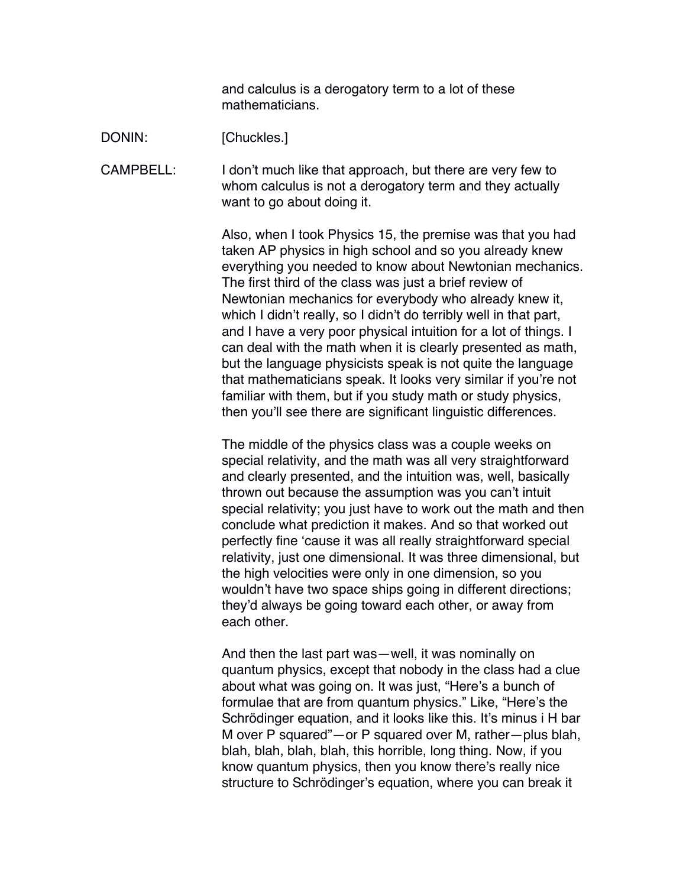and calculus is a derogatory term to a lot of these mathematicians.

DONIN: [Chuckles.]

CAMPBELL: I don't much like that approach, but there are very few to whom calculus is not a derogatory term and they actually want to go about doing it.

> Also, when I took Physics 15, the premise was that you had taken AP physics in high school and so you already knew everything you needed to know about Newtonian mechanics. The first third of the class was just a brief review of Newtonian mechanics for everybody who already knew it, which I didn't really, so I didn't do terribly well in that part, and I have a very poor physical intuition for a lot of things. I can deal with the math when it is clearly presented as math, but the language physicists speak is not quite the language that mathematicians speak. It looks very similar if you're not familiar with them, but if you study math or study physics, then you'll see there are significant linguistic differences.

> The middle of the physics class was a couple weeks on special relativity, and the math was all very straightforward and clearly presented, and the intuition was, well, basically thrown out because the assumption was you can't intuit special relativity; you just have to work out the math and then conclude what prediction it makes. And so that worked out perfectly fine 'cause it was all really straightforward special relativity, just one dimensional. It was three dimensional, but the high velocities were only in one dimension, so you wouldn't have two space ships going in different directions; they'd always be going toward each other, or away from each other.

> And then the last part was—well, it was nominally on quantum physics, except that nobody in the class had a clue about what was going on. It was just, "Here's a bunch of formulae that are from quantum physics." Like, "Here's the Schrödinger equation, and it looks like this. It's minus i H bar M over P squared"—or P squared over M, rather—plus blah, blah, blah, blah, blah, this horrible, long thing. Now, if you know quantum physics, then you know there's really nice structure to Schrödinger's equation, where you can break it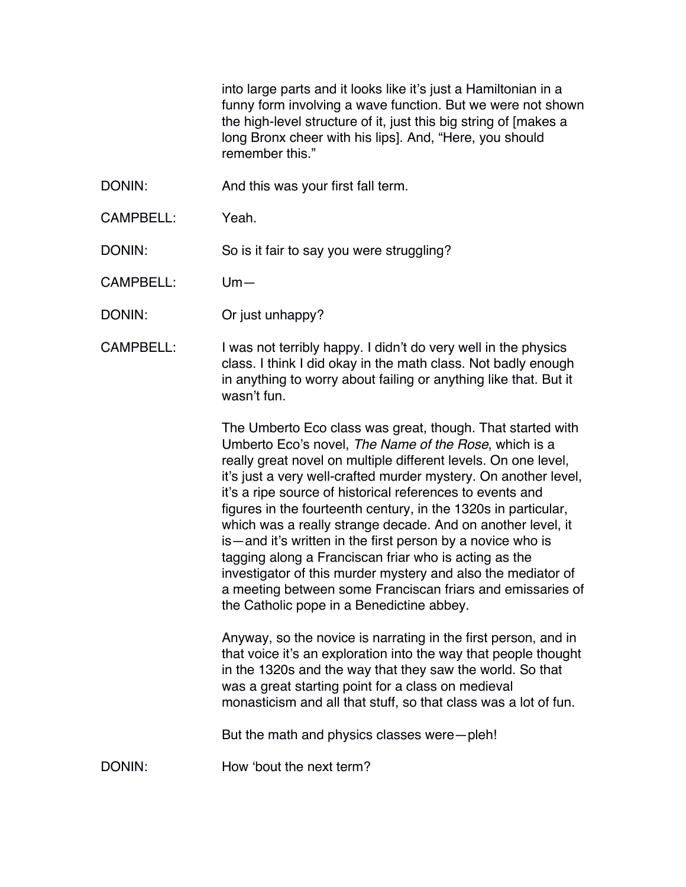into large parts and it looks like it's just a Hamiltonian in a funny form involving a wave function. But we were not shown the high-level structure of it, just this big string of [makes a long Bronx cheer with his lips]. And, "Here, you should remember this."

- DONIN: And this was your first fall term.
- CAMPBELL: Yeah.

DONIN: So is it fair to say you were struggling?

CAMPBELL: Um—

- DONIN: Or just unhappy?
- CAMPBELL: I was not terribly happy. I didn't do very well in the physics class. I think I did okay in the math class. Not badly enough in anything to worry about failing or anything like that. But it wasn't fun.

The Umberto Eco class was great, though. That started with Umberto Eco's novel, *The Name of the Rose*, which is a really great novel on multiple different levels. On one level, it's just a very well-crafted murder mystery. On another level, it's a ripe source of historical references to events and figures in the fourteenth century, in the 1320s in particular, which was a really strange decade. And on another level, it is—and it's written in the first person by a novice who is tagging along a Franciscan friar who is acting as the investigator of this murder mystery and also the mediator of a meeting between some Franciscan friars and emissaries of the Catholic pope in a Benedictine abbey.

Anyway, so the novice is narrating in the first person, and in that voice it's an exploration into the way that people thought in the 1320s and the way that they saw the world. So that was a great starting point for a class on medieval monasticism and all that stuff, so that class was a lot of fun.

But the math and physics classes were—pleh!

DONIN: How 'bout the next term?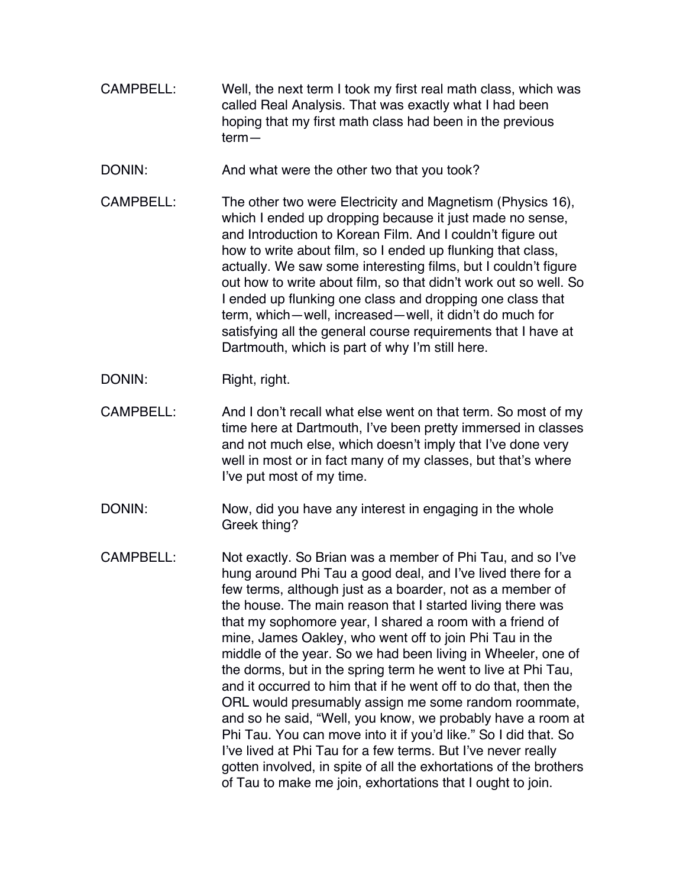- CAMPBELL: Well, the next term I took my first real math class, which was called Real Analysis. That was exactly what I had been hoping that my first math class had been in the previous term—
- DONIN: And what were the other two that you took?
- CAMPBELL: The other two were Electricity and Magnetism (Physics 16), which I ended up dropping because it just made no sense, and Introduction to Korean Film. And I couldn't figure out how to write about film, so I ended up flunking that class, actually. We saw some interesting films, but I couldn't figure out how to write about film, so that didn't work out so well. So I ended up flunking one class and dropping one class that term, which—well, increased—well, it didn't do much for satisfying all the general course requirements that I have at Dartmouth, which is part of why I'm still here.
- DONIN: Right, right.
- CAMPBELL: And I don't recall what else went on that term. So most of my time here at Dartmouth, I've been pretty immersed in classes and not much else, which doesn't imply that I've done very well in most or in fact many of my classes, but that's where I've put most of my time.
- DONIN: Now, did you have any interest in engaging in the whole Greek thing?
- CAMPBELL: Not exactly. So Brian was a member of Phi Tau, and so I've hung around Phi Tau a good deal, and I've lived there for a few terms, although just as a boarder, not as a member of the house. The main reason that I started living there was that my sophomore year, I shared a room with a friend of mine, James Oakley, who went off to join Phi Tau in the middle of the year. So we had been living in Wheeler, one of the dorms, but in the spring term he went to live at Phi Tau, and it occurred to him that if he went off to do that, then the ORL would presumably assign me some random roommate, and so he said, "Well, you know, we probably have a room at Phi Tau. You can move into it if you'd like." So I did that. So I've lived at Phi Tau for a few terms. But I've never really gotten involved, in spite of all the exhortations of the brothers of Tau to make me join, exhortations that I ought to join.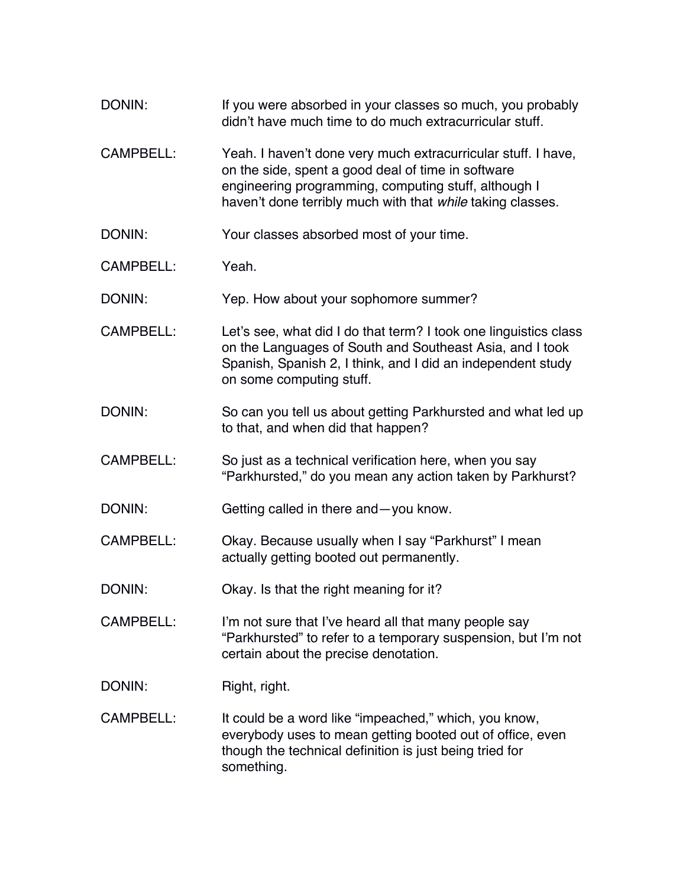| DONIN:           | If you were absorbed in your classes so much, you probably<br>didn't have much time to do much extracurricular stuff.                                                                                                                     |
|------------------|-------------------------------------------------------------------------------------------------------------------------------------------------------------------------------------------------------------------------------------------|
| <b>CAMPBELL:</b> | Yeah. I haven't done very much extracurricular stuff. I have,<br>on the side, spent a good deal of time in software<br>engineering programming, computing stuff, although I<br>haven't done terribly much with that while taking classes. |
| DONIN:           | Your classes absorbed most of your time.                                                                                                                                                                                                  |
| <b>CAMPBELL:</b> | Yeah.                                                                                                                                                                                                                                     |
| DONIN:           | Yep. How about your sophomore summer?                                                                                                                                                                                                     |
| <b>CAMPBELL:</b> | Let's see, what did I do that term? I took one linguistics class<br>on the Languages of South and Southeast Asia, and I took<br>Spanish, Spanish 2, I think, and I did an independent study<br>on some computing stuff.                   |
| DONIN:           | So can you tell us about getting Parkhursted and what led up<br>to that, and when did that happen?                                                                                                                                        |
| <b>CAMPBELL:</b> | So just as a technical verification here, when you say<br>"Parkhursted," do you mean any action taken by Parkhurst?                                                                                                                       |
| DONIN:           | Getting called in there and-you know.                                                                                                                                                                                                     |
| <b>CAMPBELL:</b> | Okay. Because usually when I say "Parkhurst" I mean<br>actually getting booted out permanently.                                                                                                                                           |
| DONIN:           | Okay. Is that the right meaning for it?                                                                                                                                                                                                   |
| CAMPBELL:        | I'm not sure that I've heard all that many people say<br>"Parkhursted" to refer to a temporary suspension, but I'm not<br>certain about the precise denotation.                                                                           |
| DONIN:           | Right, right.                                                                                                                                                                                                                             |
| <b>CAMPBELL:</b> | It could be a word like "impeached," which, you know,<br>everybody uses to mean getting booted out of office, even<br>though the technical definition is just being tried for<br>something.                                               |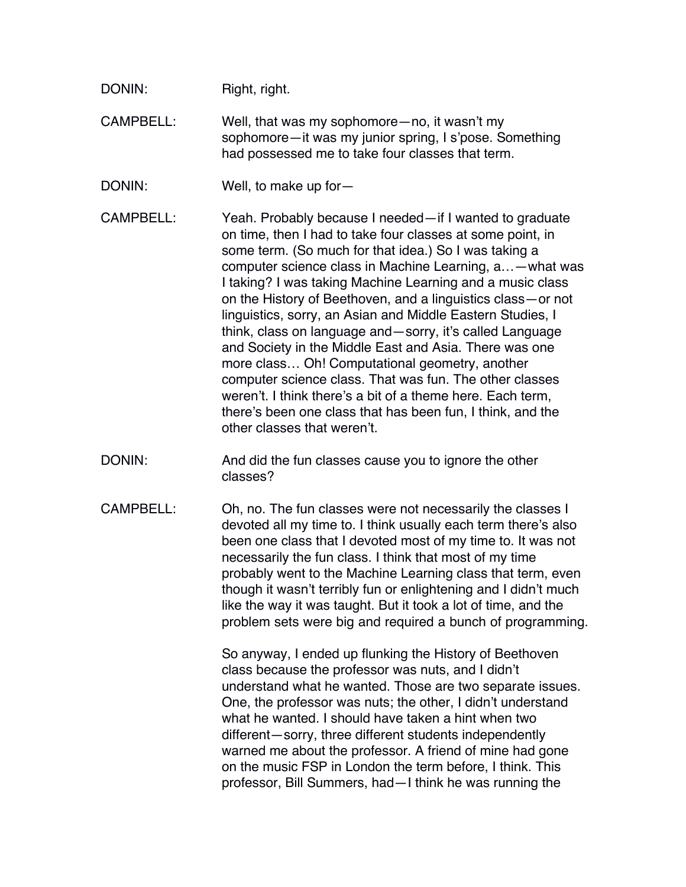| DONIN: | Right, right. |  |
|--------|---------------|--|
|--------|---------------|--|

CAMPBELL: Well, that was my sophomore—no, it wasn't my sophomore—it was my junior spring, I s'pose. Something had possessed me to take four classes that term.

- DONIN: Well, to make up for-
- CAMPBELL: Yeah. Probably because I needed—if I wanted to graduate on time, then I had to take four classes at some point, in some term. (So much for that idea.) So I was taking a computer science class in Machine Learning, a…—what was I taking? I was taking Machine Learning and a music class on the History of Beethoven, and a linguistics class—or not linguistics, sorry, an Asian and Middle Eastern Studies, I think, class on language and—sorry, it's called Language and Society in the Middle East and Asia. There was one more class… Oh! Computational geometry, another computer science class. That was fun. The other classes weren't. I think there's a bit of a theme here. Each term, there's been one class that has been fun, I think, and the other classes that weren't.
- DONIN: And did the fun classes cause you to ignore the other classes?
- CAMPBELL: Oh, no. The fun classes were not necessarily the classes I devoted all my time to. I think usually each term there's also been one class that I devoted most of my time to. It was not necessarily the fun class. I think that most of my time probably went to the Machine Learning class that term, even though it wasn't terribly fun or enlightening and I didn't much like the way it was taught. But it took a lot of time, and the problem sets were big and required a bunch of programming.

So anyway, I ended up flunking the History of Beethoven class because the professor was nuts, and I didn't understand what he wanted. Those are two separate issues. One, the professor was nuts; the other, I didn't understand what he wanted. I should have taken a hint when two different—sorry, three different students independently warned me about the professor. A friend of mine had gone on the music FSP in London the term before, I think. This professor, Bill Summers, had—I think he was running the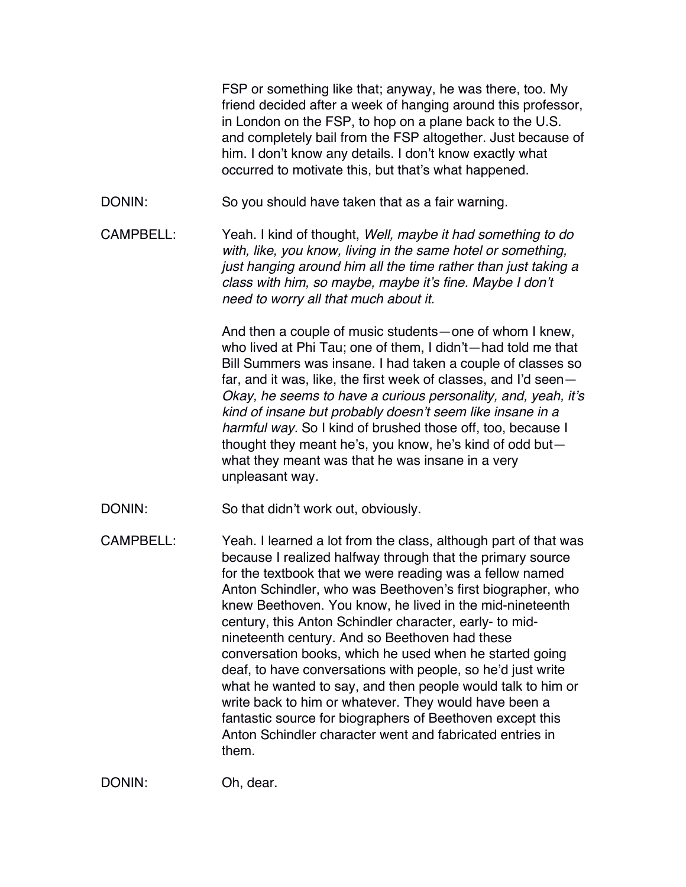FSP or something like that; anyway, he was there, too. My friend decided after a week of hanging around this professor, in London on the FSP, to hop on a plane back to the U.S. and completely bail from the FSP altogether. Just because of him. I don't know any details. I don't know exactly what occurred to motivate this, but that's what happened.

- DONIN: So you should have taken that as a fair warning.
- CAMPBELL: Yeah. I kind of thought, *Well, maybe it had something to do with, like, you know, living in the same hotel or something, just hanging around him all the time rather than just taking a class with him, so maybe, maybe it's fine. Maybe I don't need to worry all that much about it.*

And then a couple of music students—one of whom I knew, who lived at Phi Tau; one of them, I didn't—had told me that Bill Summers was insane. I had taken a couple of classes so far, and it was, like, the first week of classes, and I'd seen— *Okay, he seems to have a curious personality, and, yeah, it's kind of insane but probably doesn't seem like insane in a harmful way.* So I kind of brushed those off, too, because I thought they meant he's, you know, he's kind of odd but what they meant was that he was insane in a very unpleasant way.

- DONIN: So that didn't work out, obviously.
- CAMPBELL: Yeah. I learned a lot from the class, although part of that was because I realized halfway through that the primary source for the textbook that we were reading was a fellow named Anton Schindler, who was Beethoven's first biographer, who knew Beethoven. You know, he lived in the mid-nineteenth century, this Anton Schindler character, early- to midnineteenth century. And so Beethoven had these conversation books, which he used when he started going deaf, to have conversations with people, so he'd just write what he wanted to say, and then people would talk to him or write back to him or whatever. They would have been a fantastic source for biographers of Beethoven except this Anton Schindler character went and fabricated entries in them.

DONIN: Oh, dear.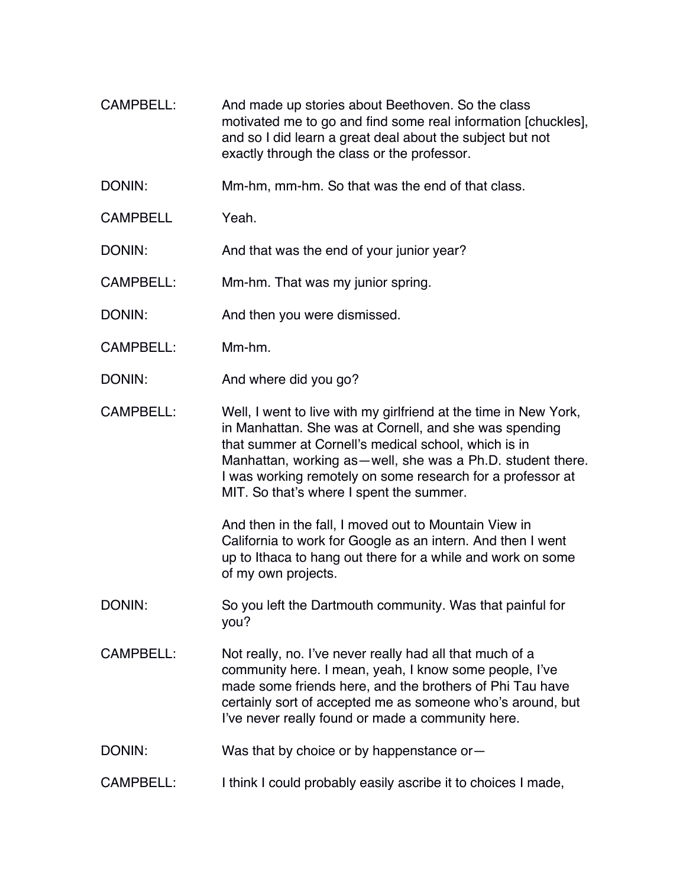- CAMPBELL: And made up stories about Beethoven. So the class motivated me to go and find some real information [chuckles], and so I did learn a great deal about the subject but not exactly through the class or the professor.
- DONIN: Mm-hm, mm-hm. So that was the end of that class.
- CAMPBELL Yeah.

DONIN: And that was the end of your junior year?

- CAMPBELL: Mm-hm. That was my junior spring.
- DONIN: And then you were dismissed.
- CAMPBELL: Mm-hm.
- DONIN: And where did you go?
- CAMPBELL: Well, I went to live with my girlfriend at the time in New York, in Manhattan. She was at Cornell, and she was spending that summer at Cornell's medical school, which is in Manhattan, working as—well, she was a Ph.D. student there. I was working remotely on some research for a professor at MIT. So that's where I spent the summer.

And then in the fall, I moved out to Mountain View in California to work for Google as an intern. And then I went up to Ithaca to hang out there for a while and work on some of my own projects.

- DONIN: So you left the Dartmouth community. Was that painful for you?
- CAMPBELL: Not really, no. I've never really had all that much of a community here. I mean, yeah, I know some people, I've made some friends here, and the brothers of Phi Tau have certainly sort of accepted me as someone who's around, but I've never really found or made a community here.
- DONIN: Was that by choice or by happenstance or
- CAMPBELL: I think I could probably easily ascribe it to choices I made,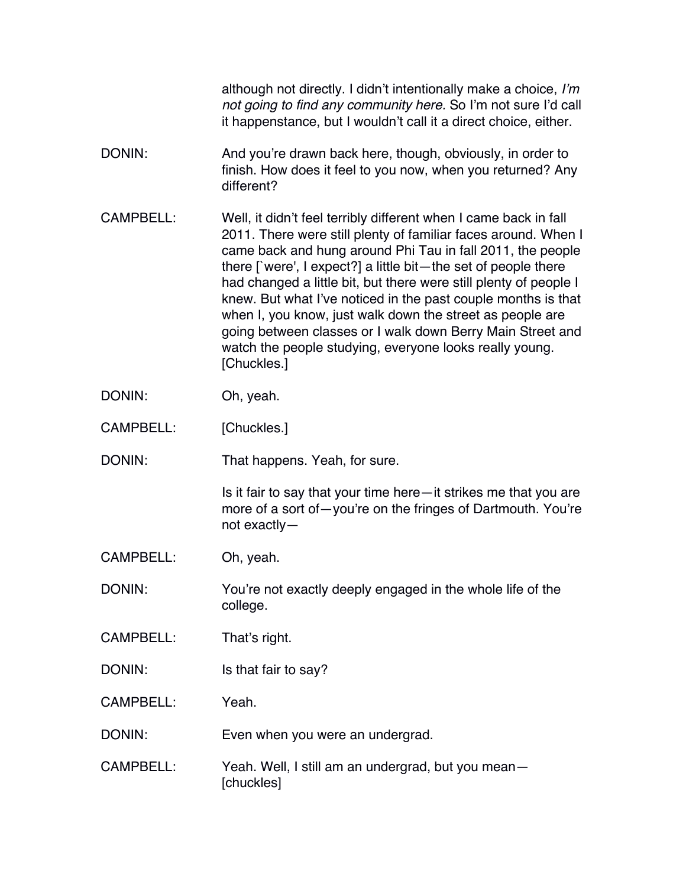|                  | although not directly. I didn't intentionally make a choice, I'm<br>not going to find any community here. So I'm not sure I'd call<br>it happenstance, but I wouldn't call it a direct choice, either.                                                                                                                                                                                                                                                                                                                                                                                                               |
|------------------|----------------------------------------------------------------------------------------------------------------------------------------------------------------------------------------------------------------------------------------------------------------------------------------------------------------------------------------------------------------------------------------------------------------------------------------------------------------------------------------------------------------------------------------------------------------------------------------------------------------------|
| DONIN:           | And you're drawn back here, though, obviously, in order to<br>finish. How does it feel to you now, when you returned? Any<br>different?                                                                                                                                                                                                                                                                                                                                                                                                                                                                              |
| <b>CAMPBELL:</b> | Well, it didn't feel terribly different when I came back in fall<br>2011. There were still plenty of familiar faces around. When I<br>came back and hung around Phi Tau in fall 2011, the people<br>there $\lceil$ were', I expect?] a little bit—the set of people there<br>had changed a little bit, but there were still plenty of people I<br>knew. But what I've noticed in the past couple months is that<br>when I, you know, just walk down the street as people are<br>going between classes or I walk down Berry Main Street and<br>watch the people studying, everyone looks really young.<br>[Chuckles.] |
| DONIN:           | Oh, yeah.                                                                                                                                                                                                                                                                                                                                                                                                                                                                                                                                                                                                            |
| CAMPBELL:        | [Chuckles.]                                                                                                                                                                                                                                                                                                                                                                                                                                                                                                                                                                                                          |
| DONIN:           | That happens. Yeah, for sure.                                                                                                                                                                                                                                                                                                                                                                                                                                                                                                                                                                                        |
|                  | Is it fair to say that your time here—it strikes me that you are<br>more of a sort of-you're on the fringes of Dartmouth. You're<br>not exactly-                                                                                                                                                                                                                                                                                                                                                                                                                                                                     |
| <b>CAMPBELL:</b> | Oh, yeah.                                                                                                                                                                                                                                                                                                                                                                                                                                                                                                                                                                                                            |
| DONIN:           | You're not exactly deeply engaged in the whole life of the<br>college.                                                                                                                                                                                                                                                                                                                                                                                                                                                                                                                                               |
| CAMPBELL:        | That's right.                                                                                                                                                                                                                                                                                                                                                                                                                                                                                                                                                                                                        |
| DONIN:           | Is that fair to say?                                                                                                                                                                                                                                                                                                                                                                                                                                                                                                                                                                                                 |
| <b>CAMPBELL:</b> | Yeah.                                                                                                                                                                                                                                                                                                                                                                                                                                                                                                                                                                                                                |
| DONIN:           | Even when you were an undergrad.                                                                                                                                                                                                                                                                                                                                                                                                                                                                                                                                                                                     |
| <b>CAMPBELL:</b> | Yeah. Well, I still am an undergrad, but you mean-<br>[chuckles]                                                                                                                                                                                                                                                                                                                                                                                                                                                                                                                                                     |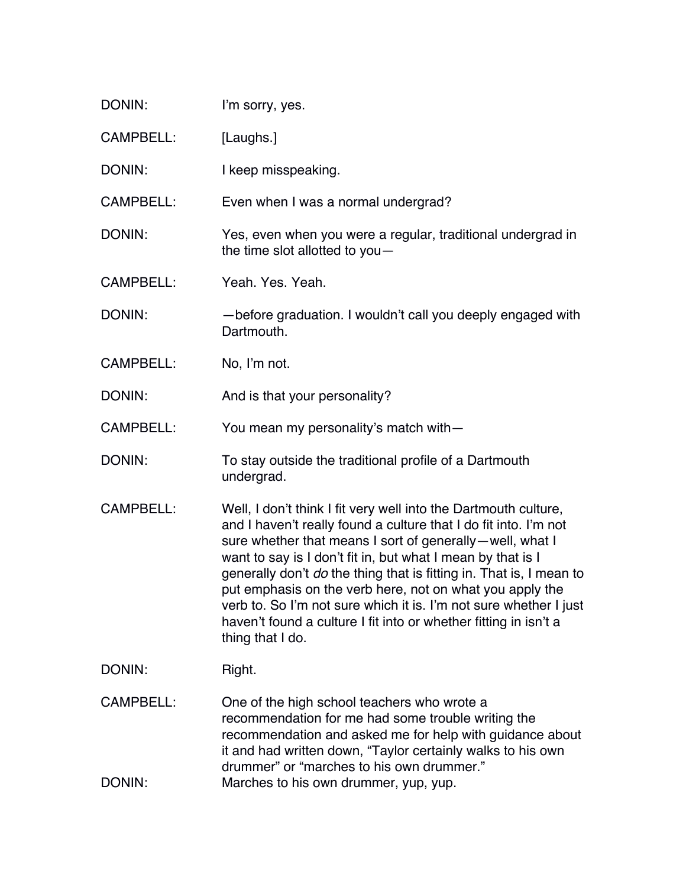| DONIN:                     | I'm sorry, yes.                                                                                                                                                                                                                                                                                                                                                                                                                                                                                                                                                |
|----------------------------|----------------------------------------------------------------------------------------------------------------------------------------------------------------------------------------------------------------------------------------------------------------------------------------------------------------------------------------------------------------------------------------------------------------------------------------------------------------------------------------------------------------------------------------------------------------|
| <b>CAMPBELL:</b>           | [Laughs.]                                                                                                                                                                                                                                                                                                                                                                                                                                                                                                                                                      |
| DONIN:                     | I keep misspeaking.                                                                                                                                                                                                                                                                                                                                                                                                                                                                                                                                            |
| <b>CAMPBELL:</b>           | Even when I was a normal undergrad?                                                                                                                                                                                                                                                                                                                                                                                                                                                                                                                            |
| DONIN:                     | Yes, even when you were a regular, traditional undergrad in<br>the time slot allotted to you-                                                                                                                                                                                                                                                                                                                                                                                                                                                                  |
| <b>CAMPBELL:</b>           | Yeah. Yes. Yeah.                                                                                                                                                                                                                                                                                                                                                                                                                                                                                                                                               |
| DONIN:                     | -before graduation. I wouldn't call you deeply engaged with<br>Dartmouth.                                                                                                                                                                                                                                                                                                                                                                                                                                                                                      |
| <b>CAMPBELL:</b>           | No, I'm not.                                                                                                                                                                                                                                                                                                                                                                                                                                                                                                                                                   |
| DONIN:                     | And is that your personality?                                                                                                                                                                                                                                                                                                                                                                                                                                                                                                                                  |
| <b>CAMPBELL:</b>           | You mean my personality's match with-                                                                                                                                                                                                                                                                                                                                                                                                                                                                                                                          |
| DONIN:                     | To stay outside the traditional profile of a Dartmouth<br>undergrad.                                                                                                                                                                                                                                                                                                                                                                                                                                                                                           |
| <b>CAMPBELL:</b>           | Well, I don't think I fit very well into the Dartmouth culture,<br>and I haven't really found a culture that I do fit into. I'm not<br>sure whether that means I sort of generally-well, what I<br>want to say is I don't fit in, but what I mean by that is I<br>generally don't do the thing that is fitting in. That is, I mean to<br>put emphasis on the verb here, not on what you apply the<br>verb to. So I'm not sure which it is. I'm not sure whether I just<br>haven't found a culture I fit into or whether fitting in isn't a<br>thing that I do. |
| DONIN:                     | Right.                                                                                                                                                                                                                                                                                                                                                                                                                                                                                                                                                         |
| <b>CAMPBELL:</b><br>DONIN: | One of the high school teachers who wrote a<br>recommendation for me had some trouble writing the<br>recommendation and asked me for help with guidance about<br>it and had written down, "Taylor certainly walks to his own<br>drummer" or "marches to his own drummer."<br>Marches to his own drummer, yup, yup.                                                                                                                                                                                                                                             |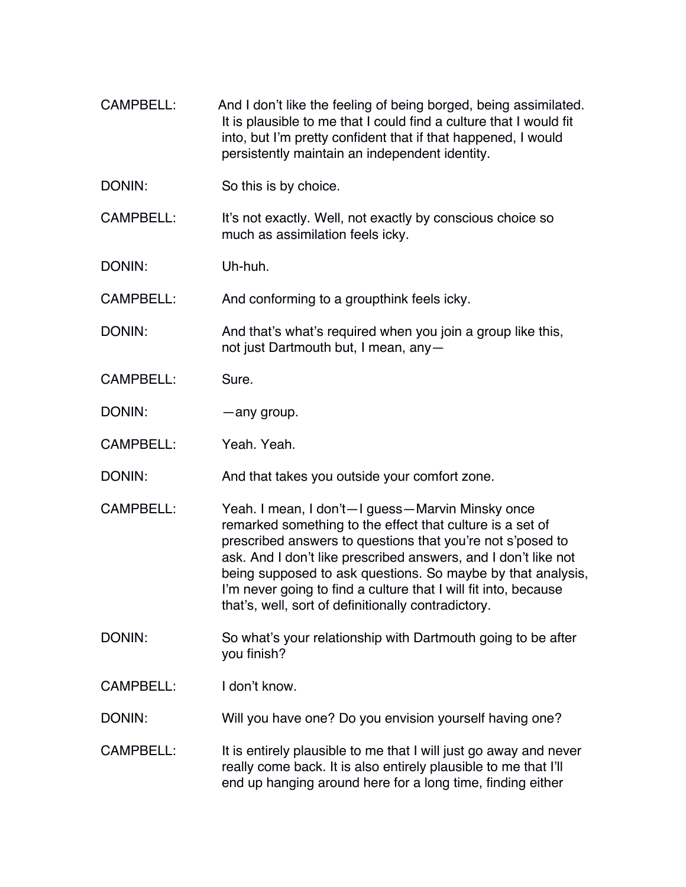CAMPBELL: And I don't like the feeling of being borged, being assimilated. It is plausible to me that I could find a culture that I would fit into, but I'm pretty confident that if that happened, I would persistently maintain an independent identity. DONIN: So this is by choice. CAMPBELL: It's not exactly. Well, not exactly by conscious choice so much as assimilation feels icky. DONIN: Uh-huh. CAMPBELL: And conforming to a groupthink feels icky. DONIN: And that's what's required when you join a group like this, not just Dartmouth but, I mean, any— CAMPBELL: Sure. DONIN: — — — — any group. CAMPBELL: Yeah. Yeah. DONIN: And that takes you outside your comfort zone. CAMPBELL: Yeah. I mean, I don't—I guess—Marvin Minsky once remarked something to the effect that culture is a set of prescribed answers to questions that you're not s'posed to ask. And I don't like prescribed answers, and I don't like not being supposed to ask questions. So maybe by that analysis, I'm never going to find a culture that I will fit into, because that's, well, sort of definitionally contradictory. DONIN: So what's your relationship with Dartmouth going to be after you finish? CAMPBELL: I don't know. DONIN: Will you have one? Do you envision yourself having one? CAMPBELL: It is entirely plausible to me that I will just go away and never really come back. It is also entirely plausible to me that I'll end up hanging around here for a long time, finding either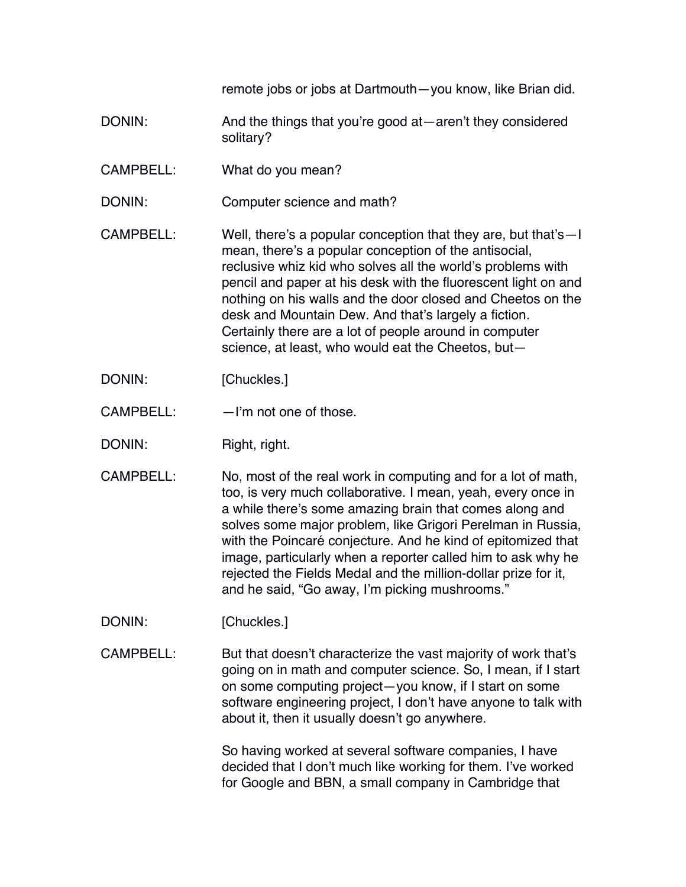remote jobs or jobs at Dartmouth—you know, like Brian did.

- DONIN: And the things that you're good at—aren't they considered solitary?
- CAMPBELL: What do you mean?
- DONIN: Computer science and math?
- CAMPBELL: Well, there's a popular conception that they are, but that's—I mean, there's a popular conception of the antisocial, reclusive whiz kid who solves all the world's problems with pencil and paper at his desk with the fluorescent light on and nothing on his walls and the door closed and Cheetos on the desk and Mountain Dew. And that's largely a fiction. Certainly there are a lot of people around in computer science, at least, who would eat the Cheetos, but—
- DONIN: [Chuckles.]
- CAMPBELL: —I'm not one of those.
- DONIN: Right, right.
- CAMPBELL: No, most of the real work in computing and for a lot of math, too, is very much collaborative. I mean, yeah, every once in a while there's some amazing brain that comes along and solves some major problem, like Grigori Perelman in Russia, with the Poincaré conjecture. And he kind of epitomized that image, particularly when a reporter called him to ask why he rejected the Fields Medal and the million-dollar prize for it, and he said, "Go away, I'm picking mushrooms."
- DONIN: [Chuckles.]
- CAMPBELL: But that doesn't characterize the vast majority of work that's going on in math and computer science. So, I mean, if I start on some computing project—you know, if I start on some software engineering project, I don't have anyone to talk with about it, then it usually doesn't go anywhere.

So having worked at several software companies, I have decided that I don't much like working for them. I've worked for Google and BBN, a small company in Cambridge that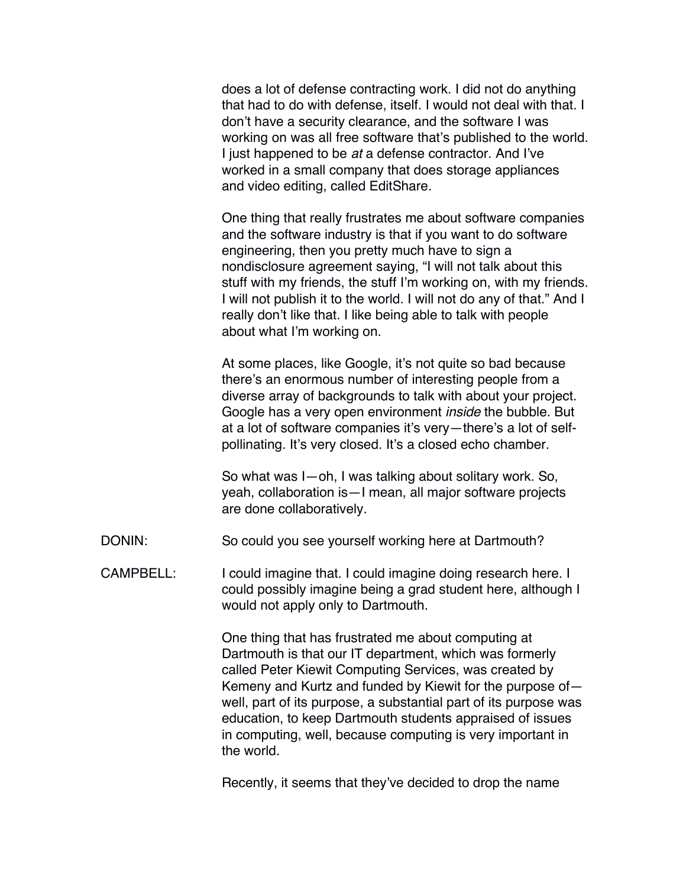does a lot of defense contracting work. I did not do anything that had to do with defense, itself. I would not deal with that. I don't have a security clearance, and the software I was working on was all free software that's published to the world. I just happened to be *at* a defense contractor. And I've worked in a small company that does storage appliances and video editing, called EditShare.

One thing that really frustrates me about software companies and the software industry is that if you want to do software engineering, then you pretty much have to sign a nondisclosure agreement saying, "I will not talk about this stuff with my friends, the stuff I'm working on, with my friends. I will not publish it to the world. I will not do any of that." And I really don't like that. I like being able to talk with people about what I'm working on.

At some places, like Google, it's not quite so bad because there's an enormous number of interesting people from a diverse array of backgrounds to talk with about your project. Google has a very open environment *inside* the bubble. But at a lot of software companies it's very—there's a lot of selfpollinating. It's very closed. It's a closed echo chamber.

So what was I—oh, I was talking about solitary work. So, yeah, collaboration is—I mean, all major software projects are done collaboratively.

DONIN: So could you see yourself working here at Dartmouth?

CAMPBELL: I could imagine that. I could imagine doing research here. I could possibly imagine being a grad student here, although I would not apply only to Dartmouth.

> One thing that has frustrated me about computing at Dartmouth is that our IT department, which was formerly called Peter Kiewit Computing Services, was created by Kemeny and Kurtz and funded by Kiewit for the purpose of well, part of its purpose, a substantial part of its purpose was education, to keep Dartmouth students appraised of issues in computing, well, because computing is very important in the world.

Recently, it seems that they've decided to drop the name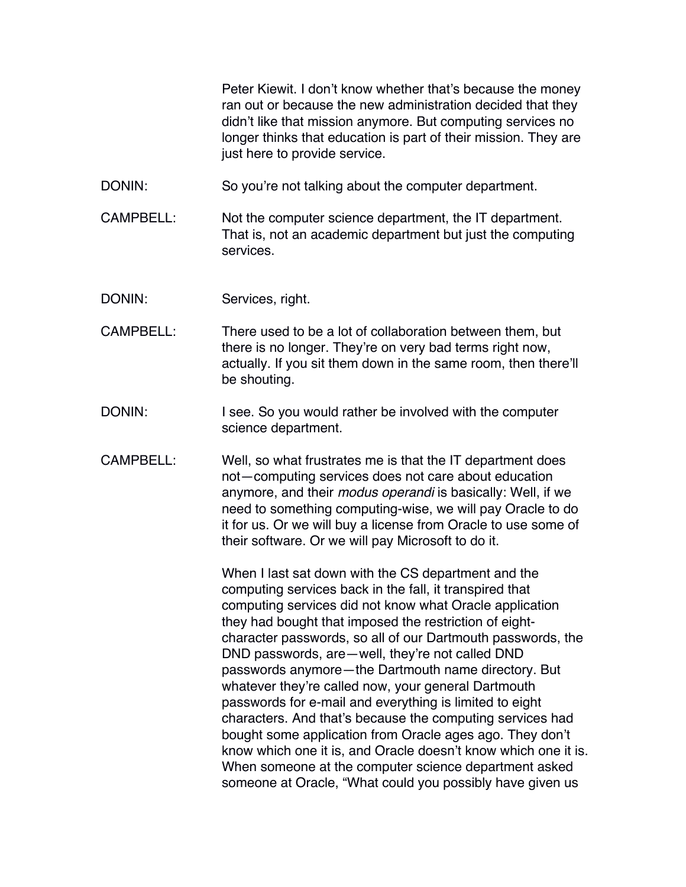Peter Kiewit. I don't know whether that's because the money ran out or because the new administration decided that they didn't like that mission anymore. But computing services no longer thinks that education is part of their mission. They are just here to provide service.

DONIN: So you're not talking about the computer department.

CAMPBELL: Not the computer science department, the IT department. That is, not an academic department but just the computing services.

DONIN: Services, right.

- CAMPBELL: There used to be a lot of collaboration between them, but there is no longer. They're on very bad terms right now, actually. If you sit them down in the same room, then there'll be shouting.
- DONIN: I see. So you would rather be involved with the computer science department.
- CAMPBELL: Well, so what frustrates me is that the IT department does not—computing services does not care about education anymore, and their *modus operandi* is basically: Well, if we need to something computing-wise, we will pay Oracle to do it for us. Or we will buy a license from Oracle to use some of their software. Or we will pay Microsoft to do it.

When I last sat down with the CS department and the computing services back in the fall, it transpired that computing services did not know what Oracle application they had bought that imposed the restriction of eightcharacter passwords, so all of our Dartmouth passwords, the DND passwords, are—well, they're not called DND passwords anymore—the Dartmouth name directory. But whatever they're called now, your general Dartmouth passwords for e-mail and everything is limited to eight characters. And that's because the computing services had bought some application from Oracle ages ago. They don't know which one it is, and Oracle doesn't know which one it is. When someone at the computer science department asked someone at Oracle, "What could you possibly have given us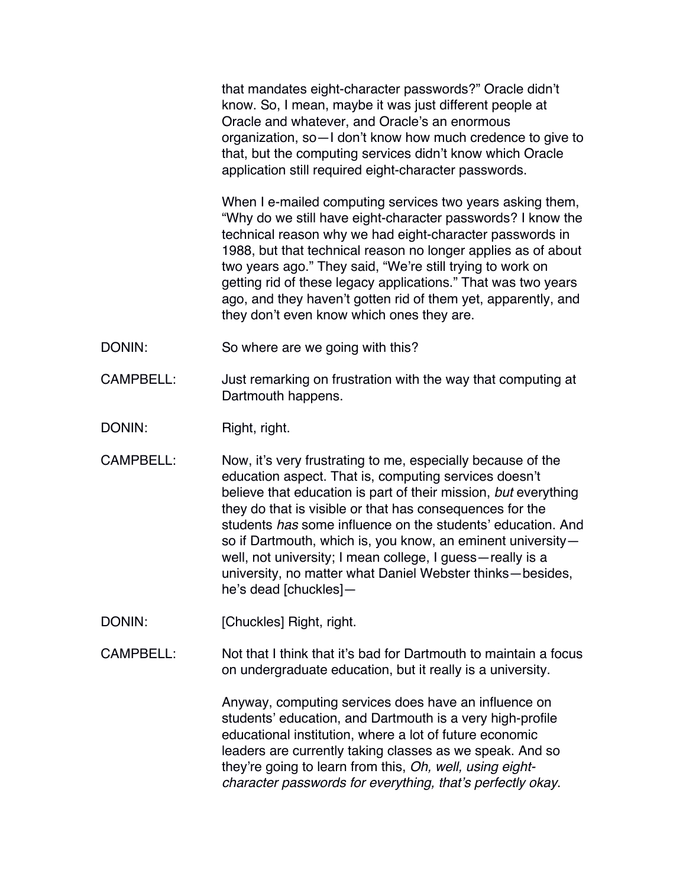that mandates eight-character passwords?" Oracle didn't know. So, I mean, maybe it was just different people at Oracle and whatever, and Oracle's an enormous organization, so—I don't know how much credence to give to that, but the computing services didn't know which Oracle application still required eight-character passwords.

When I e-mailed computing services two years asking them, "Why do we still have eight-character passwords? I know the technical reason why we had eight-character passwords in 1988, but that technical reason no longer applies as of about two years ago." They said, "We're still trying to work on getting rid of these legacy applications." That was two years ago, and they haven't gotten rid of them yet, apparently, and they don't even know which ones they are.

- DONIN: So where are we going with this?
- CAMPBELL: Just remarking on frustration with the way that computing at Dartmouth happens.
- DONIN: Right, right.
- CAMPBELL: Now, it's very frustrating to me, especially because of the education aspect. That is, computing services doesn't believe that education is part of their mission, *but* everything they do that is visible or that has consequences for the students *has* some influence on the students' education. And so if Dartmouth, which is, you know, an eminent university well, not university; I mean college, I guess—really is a university, no matter what Daniel Webster thinks—besides, he's dead [chuckles]—
- DONIN: [Chuckles] Right, right.
- CAMPBELL: Not that I think that it's bad for Dartmouth to maintain a focus on undergraduate education, but it really is a university.

Anyway, computing services does have an influence on students' education, and Dartmouth is a very high-profile educational institution, where a lot of future economic leaders are currently taking classes as we speak. And so they're going to learn from this, *Oh, well, using eightcharacter passwords for everything, that's perfectly okay*.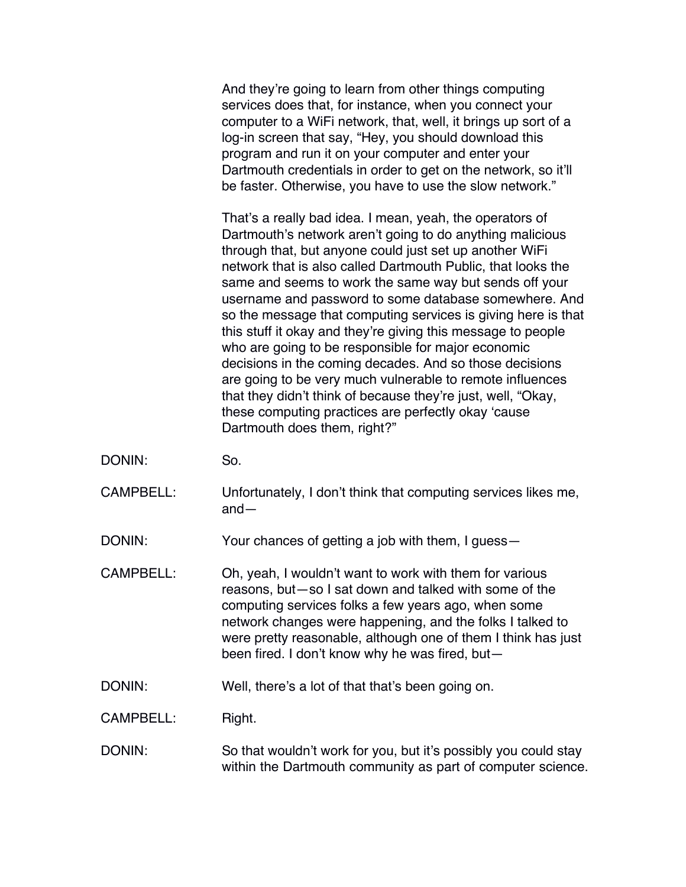And they're going to learn from other things computing services does that, for instance, when you connect your computer to a WiFi network, that, well, it brings up sort of a log-in screen that say, "Hey, you should download this program and run it on your computer and enter your Dartmouth credentials in order to get on the network, so it'll be faster. Otherwise, you have to use the slow network."

That's a really bad idea. I mean, yeah, the operators of Dartmouth's network aren't going to do anything malicious through that, but anyone could just set up another WiFi network that is also called Dartmouth Public, that looks the same and seems to work the same way but sends off your username and password to some database somewhere. And so the message that computing services is giving here is that this stuff it okay and they're giving this message to people who are going to be responsible for major economic decisions in the coming decades. And so those decisions are going to be very much vulnerable to remote influences that they didn't think of because they're just, well, "Okay, these computing practices are perfectly okay 'cause Dartmouth does them, right?"

- DONIN: So.
- CAMPBELL: Unfortunately, I don't think that computing services likes me, and—

DONIN: Your chances of getting a job with them, I guess—

- CAMPBELL: Oh, yeah, I wouldn't want to work with them for various reasons, but—so I sat down and talked with some of the computing services folks a few years ago, when some network changes were happening, and the folks I talked to were pretty reasonable, although one of them I think has just been fired. I don't know why he was fired, but—
- DONIN: Well, there's a lot of that that's been going on.

CAMPBELL: Right.

DONIN: So that wouldn't work for you, but it's possibly you could stay within the Dartmouth community as part of computer science.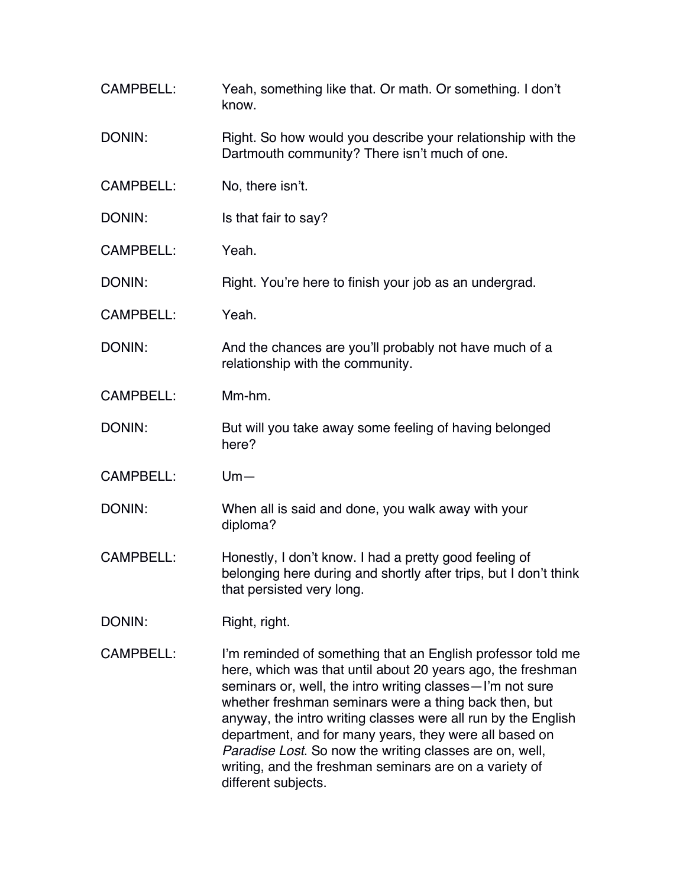CAMPBELL: Yeah, something like that. Or math. Or something. I don't know. DONIN: Right. So how would you describe your relationship with the Dartmouth community? There isn't much of one. CAMPBELL: No, there isn't. DONIN: Is that fair to say? CAMPBELL: Yeah. DONIN: Right. You're here to finish your job as an undergrad. CAMPBELL: Yeah. DONIN: And the chances are you'll probably not have much of a relationship with the community. CAMPBELL: Mm-hm. DONIN: But will you take away some feeling of having belonged here? CAMPBELL: Um— DONIN: When all is said and done, you walk away with your diploma? CAMPBELL: Honestly, I don't know. I had a pretty good feeling of belonging here during and shortly after trips, but I don't think that persisted very long. DONIN: Right, right. CAMPBELL: I'm reminded of something that an English professor told me here, which was that until about 20 years ago, the freshman seminars or, well, the intro writing classes—I'm not sure whether freshman seminars were a thing back then, but anyway, the intro writing classes were all run by the English department, and for many years, they were all based on *Paradise Lost*. So now the writing classes are on, well, writing, and the freshman seminars are on a variety of

different subjects.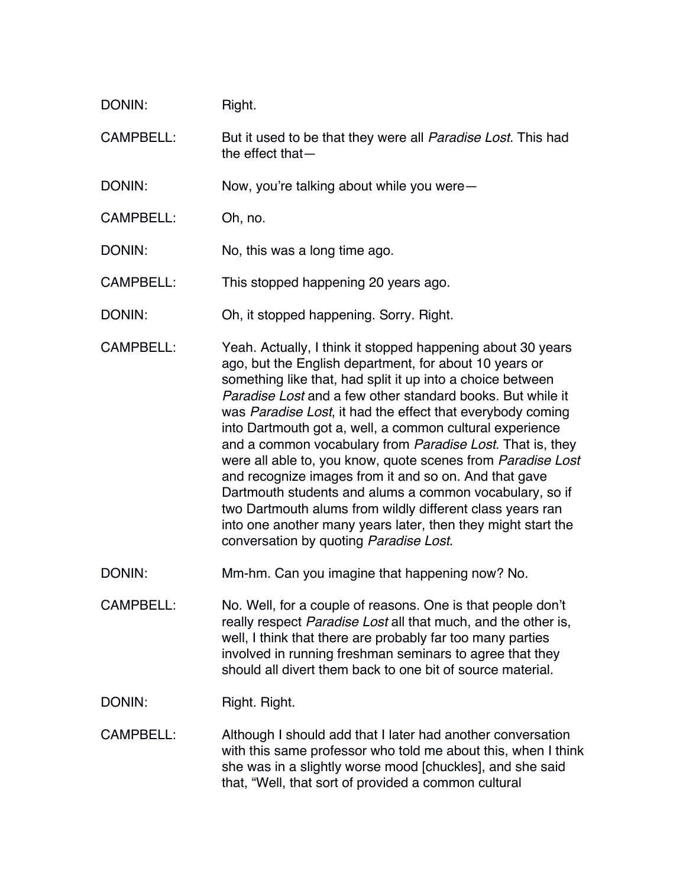| DONIN:           | Right.                                                                                                                                                                                                                                                                                                                                                                                                                                                                                                                                                                                                                                                                                                                                                                                                    |
|------------------|-----------------------------------------------------------------------------------------------------------------------------------------------------------------------------------------------------------------------------------------------------------------------------------------------------------------------------------------------------------------------------------------------------------------------------------------------------------------------------------------------------------------------------------------------------------------------------------------------------------------------------------------------------------------------------------------------------------------------------------------------------------------------------------------------------------|
| <b>CAMPBELL:</b> | But it used to be that they were all <i>Paradise Lost</i> . This had<br>the effect that $-$                                                                                                                                                                                                                                                                                                                                                                                                                                                                                                                                                                                                                                                                                                               |
| DONIN:           | Now, you're talking about while you were-                                                                                                                                                                                                                                                                                                                                                                                                                                                                                                                                                                                                                                                                                                                                                                 |
| <b>CAMPBELL:</b> | Oh, no.                                                                                                                                                                                                                                                                                                                                                                                                                                                                                                                                                                                                                                                                                                                                                                                                   |
| DONIN:           | No, this was a long time ago.                                                                                                                                                                                                                                                                                                                                                                                                                                                                                                                                                                                                                                                                                                                                                                             |
| <b>CAMPBELL:</b> | This stopped happening 20 years ago.                                                                                                                                                                                                                                                                                                                                                                                                                                                                                                                                                                                                                                                                                                                                                                      |
| DONIN:           | Oh, it stopped happening. Sorry. Right.                                                                                                                                                                                                                                                                                                                                                                                                                                                                                                                                                                                                                                                                                                                                                                   |
| <b>CAMPBELL:</b> | Yeah. Actually, I think it stopped happening about 30 years<br>ago, but the English department, for about 10 years or<br>something like that, had split it up into a choice between<br><i>Paradise Lost</i> and a few other standard books. But while it<br>was Paradise Lost, it had the effect that everybody coming<br>into Dartmouth got a, well, a common cultural experience<br>and a common vocabulary from Paradise Lost. That is, they<br>were all able to, you know, quote scenes from Paradise Lost<br>and recognize images from it and so on. And that gave<br>Dartmouth students and alums a common vocabulary, so if<br>two Dartmouth alums from wildly different class years ran<br>into one another many years later, then they might start the<br>conversation by quoting Paradise Lost. |
| DONIN:           | Mm-hm. Can you imagine that happening now? No.                                                                                                                                                                                                                                                                                                                                                                                                                                                                                                                                                                                                                                                                                                                                                            |
| <b>CAMPBELL:</b> | No. Well, for a couple of reasons. One is that people don't<br>really respect Paradise Lost all that much, and the other is,<br>well, I think that there are probably far too many parties<br>involved in running freshman seminars to agree that they<br>should all divert them back to one bit of source material.                                                                                                                                                                                                                                                                                                                                                                                                                                                                                      |
| DONIN:           | Right. Right.                                                                                                                                                                                                                                                                                                                                                                                                                                                                                                                                                                                                                                                                                                                                                                                             |
| <b>CAMPBELL:</b> | Although I should add that I later had another conversation<br>with this same professor who told me about this, when I think<br>she was in a slightly worse mood [chuckles], and she said<br>that, "Well, that sort of provided a common cultural                                                                                                                                                                                                                                                                                                                                                                                                                                                                                                                                                         |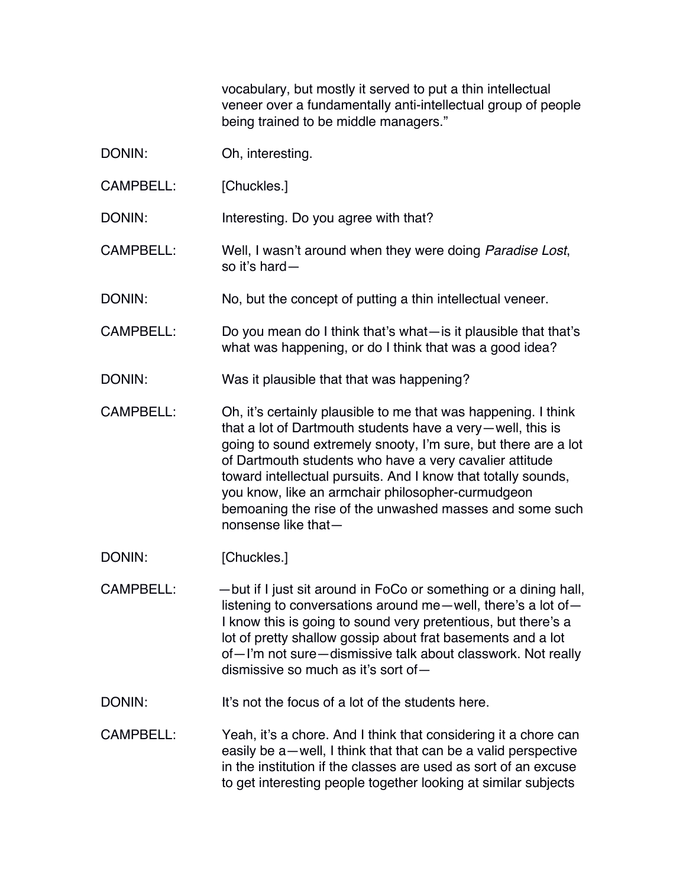vocabulary, but mostly it served to put a thin intellectual veneer over a fundamentally anti-intellectual group of people being trained to be middle managers."

| DONIN:           | Oh, interesting.                                                                                                                                                                                                                                                                                                                                                                                                                                                  |
|------------------|-------------------------------------------------------------------------------------------------------------------------------------------------------------------------------------------------------------------------------------------------------------------------------------------------------------------------------------------------------------------------------------------------------------------------------------------------------------------|
| <b>CAMPBELL:</b> | [Chuckles.]                                                                                                                                                                                                                                                                                                                                                                                                                                                       |
| DONIN:           | Interesting. Do you agree with that?                                                                                                                                                                                                                                                                                                                                                                                                                              |
| <b>CAMPBELL:</b> | Well, I wasn't around when they were doing Paradise Lost,<br>so it's hard-                                                                                                                                                                                                                                                                                                                                                                                        |
| DONIN:           | No, but the concept of putting a thin intellectual veneer.                                                                                                                                                                                                                                                                                                                                                                                                        |
| <b>CAMPBELL:</b> | Do you mean do I think that's what-is it plausible that that's<br>what was happening, or do I think that was a good idea?                                                                                                                                                                                                                                                                                                                                         |
| DONIN:           | Was it plausible that that was happening?                                                                                                                                                                                                                                                                                                                                                                                                                         |
| <b>CAMPBELL:</b> | Oh, it's certainly plausible to me that was happening. I think<br>that a lot of Dartmouth students have a very-well, this is<br>going to sound extremely snooty, I'm sure, but there are a lot<br>of Dartmouth students who have a very cavalier attitude<br>toward intellectual pursuits. And I know that totally sounds,<br>you know, like an armchair philosopher-curmudgeon<br>bemoaning the rise of the unwashed masses and some such<br>nonsense like that- |
| DONIN:           | [Chuckles.]                                                                                                                                                                                                                                                                                                                                                                                                                                                       |
| <b>CAMPBELL:</b> | - but if I just sit around in FoCo or something or a dining hall,<br>listening to conversations around me-well, there's a lot of-<br>I know this is going to sound very pretentious, but there's a<br>lot of pretty shallow gossip about frat basements and a lot<br>of-I'm not sure-dismissive talk about classwork. Not really<br>dismissive so much as it's sort of-                                                                                           |
| DONIN:           | It's not the focus of a lot of the students here.                                                                                                                                                                                                                                                                                                                                                                                                                 |
|                  | CAMPBELL: Yeah it's a chore And I think that considering it a chore can                                                                                                                                                                                                                                                                                                                                                                                           |

CAMPBELL: Yeah, it's a chore. And I think that considering it a chore can easily be a—well, I think that that can be a valid perspective in the institution if the classes are used as sort of an excuse to get interesting people together looking at similar subjects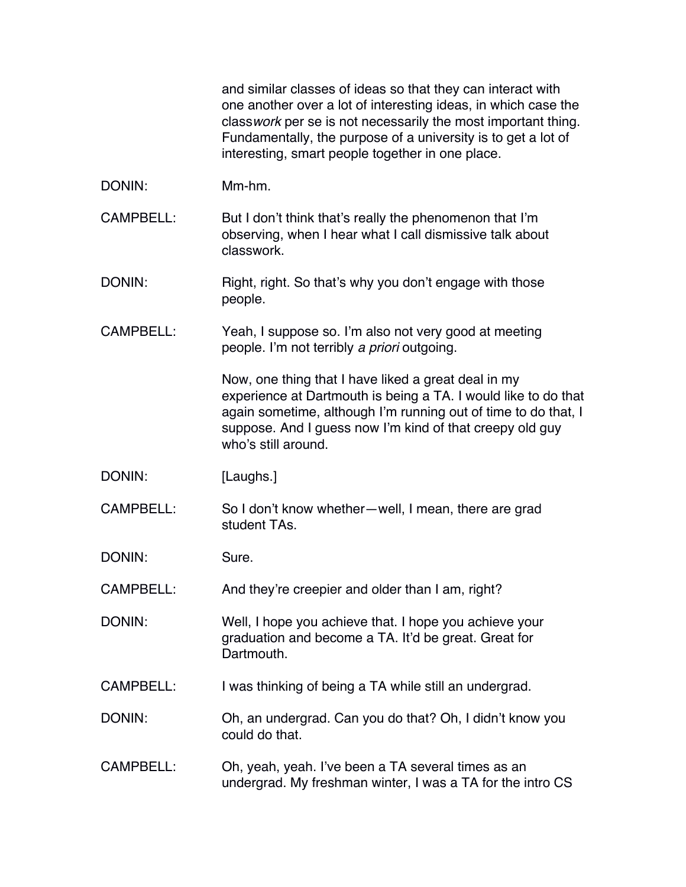and similar classes of ideas so that they can interact with one another over a lot of interesting ideas, in which case the class*work* per se is not necessarily the most important thing. Fundamentally, the purpose of a university is to get a lot of interesting, smart people together in one place.

- DONIN: Mm-hm.
- CAMPBELL: But I don't think that's really the phenomenon that I'm observing, when I hear what I call dismissive talk about classwork.
- DONIN: Right, right. So that's why you don't engage with those people.
- CAMPBELL: Yeah, I suppose so. I'm also not very good at meeting people. I'm not terribly *a priori* outgoing.

Now, one thing that I have liked a great deal in my experience at Dartmouth is being a TA. I would like to do that again sometime, although I'm running out of time to do that, I suppose. And I guess now I'm kind of that creepy old guy who's still around.

- DONIN: [Laughs.]
- CAMPBELL: So I don't know whether—well, I mean, there are grad student TAs.

DONIN: Sure.

CAMPBELL: And they're creepier and older than I am, right?

- DONIN: Well, I hope you achieve that. I hope you achieve your graduation and become a TA. It'd be great. Great for Dartmouth.
- CAMPBELL: I was thinking of being a TA while still an undergrad.
- DONIN: Oh, an undergrad. Can you do that? Oh, I didn't know you could do that.
- CAMPBELL: Oh, yeah, yeah. I've been a TA several times as an undergrad. My freshman winter, I was a TA for the intro CS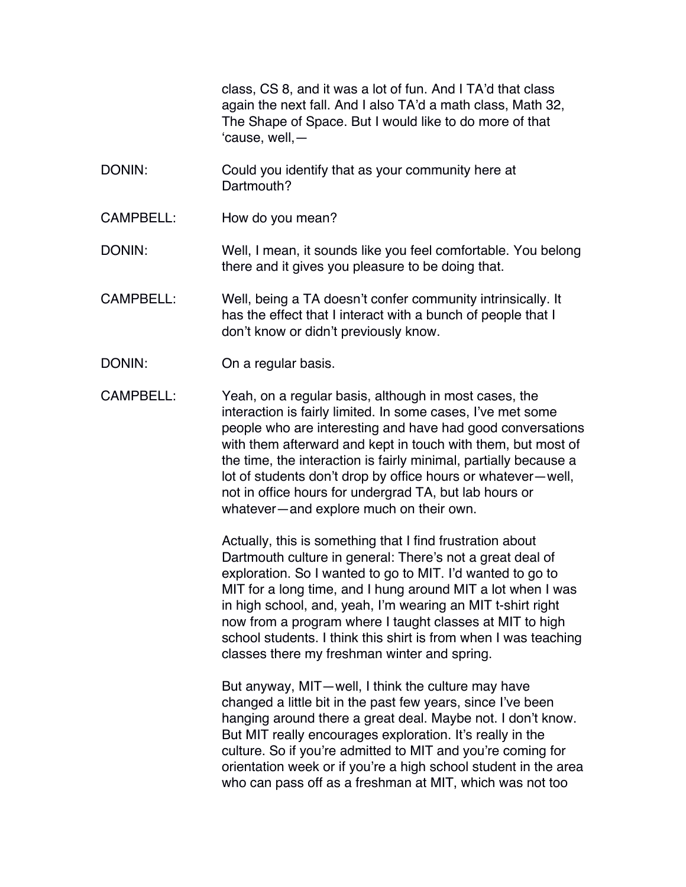class, CS 8, and it was a lot of fun. And I TA'd that class again the next fall. And I also TA'd a math class, Math 32, The Shape of Space. But I would like to do more of that 'cause, well,—

- DONIN: Could you identify that as your community here at Dartmouth?
- CAMPBELL: How do you mean?

DONIN: Well, I mean, it sounds like you feel comfortable. You belong there and it gives you pleasure to be doing that.

- CAMPBELL: Well, being a TA doesn't confer community intrinsically. It has the effect that I interact with a bunch of people that I don't know or didn't previously know.
- DONIN: On a regular basis.

CAMPBELL: Yeah, on a regular basis, although in most cases, the interaction is fairly limited. In some cases, I've met some people who are interesting and have had good conversations with them afterward and kept in touch with them, but most of the time, the interaction is fairly minimal, partially because a lot of students don't drop by office hours or whatever—well, not in office hours for undergrad TA, but lab hours or whatever—and explore much on their own.

> Actually, this is something that I find frustration about Dartmouth culture in general: There's not a great deal of exploration. So I wanted to go to MIT. I'd wanted to go to MIT for a long time, and I hung around MIT a lot when I was in high school, and, yeah, I'm wearing an MIT t-shirt right now from a program where I taught classes at MIT to high school students. I think this shirt is from when I was teaching classes there my freshman winter and spring.

> But anyway, MIT—well, I think the culture may have changed a little bit in the past few years, since I've been hanging around there a great deal. Maybe not. I don't know. But MIT really encourages exploration. It's really in the culture. So if you're admitted to MIT and you're coming for orientation week or if you're a high school student in the area who can pass off as a freshman at MIT, which was not too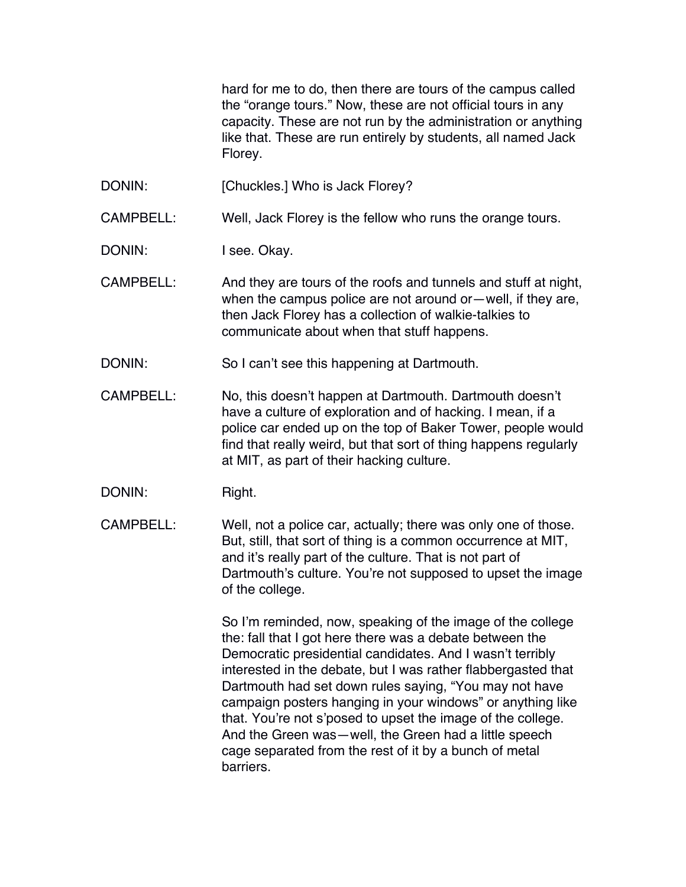hard for me to do, then there are tours of the campus called the "orange tours." Now, these are not official tours in any capacity. These are not run by the administration or anything like that. These are run entirely by students, all named Jack Florey.

DONIN: [Chuckles.] Who is Jack Florey?

CAMPBELL: Well, Jack Florey is the fellow who runs the orange tours.

DONIN: I see. Okay.

CAMPBELL: And they are tours of the roofs and tunnels and stuff at night, when the campus police are not around or—well, if they are, then Jack Florey has a collection of walkie-talkies to communicate about when that stuff happens.

- DONIN: So I can't see this happening at Dartmouth.
- CAMPBELL: No, this doesn't happen at Dartmouth. Dartmouth doesn't have a culture of exploration and of hacking. I mean, if a police car ended up on the top of Baker Tower, people would find that really weird, but that sort of thing happens regularly at MIT, as part of their hacking culture.
- DONIN: Right.
- CAMPBELL: Well, not a police car, actually; there was only one of those. But, still, that sort of thing is a common occurrence at MIT, and it's really part of the culture. That is not part of Dartmouth's culture. You're not supposed to upset the image of the college.

So I'm reminded, now, speaking of the image of the college the: fall that I got here there was a debate between the Democratic presidential candidates. And I wasn't terribly interested in the debate, but I was rather flabbergasted that Dartmouth had set down rules saying, "You may not have campaign posters hanging in your windows" or anything like that. You're not s'posed to upset the image of the college. And the Green was—well, the Green had a little speech cage separated from the rest of it by a bunch of metal barriers.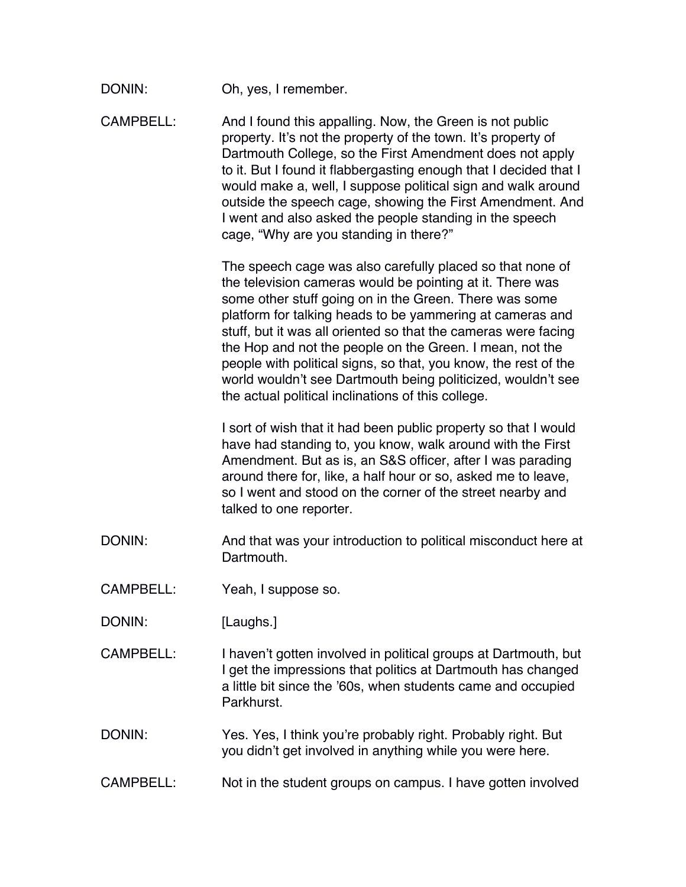| DONIN: | Oh, yes, I remember. |
|--------|----------------------|
|--------|----------------------|

CAMPBELL: And I found this appalling. Now, the Green is not public property. It's not the property of the town. It's property of Dartmouth College, so the First Amendment does not apply to it. But I found it flabbergasting enough that I decided that I would make a, well, I suppose political sign and walk around outside the speech cage, showing the First Amendment. And I went and also asked the people standing in the speech cage, "Why are you standing in there?"

> The speech cage was also carefully placed so that none of the television cameras would be pointing at it. There was some other stuff going on in the Green. There was some platform for talking heads to be yammering at cameras and stuff, but it was all oriented so that the cameras were facing the Hop and not the people on the Green. I mean, not the people with political signs, so that, you know, the rest of the world wouldn't see Dartmouth being politicized, wouldn't see the actual political inclinations of this college.

I sort of wish that it had been public property so that I would have had standing to, you know, walk around with the First Amendment. But as is, an S&S officer, after I was parading around there for, like, a half hour or so, asked me to leave, so I went and stood on the corner of the street nearby and talked to one reporter.

- DONIN: And that was your introduction to political misconduct here at Dartmouth.
- CAMPBELL: Yeah, I suppose so.
- DONIN: [Laughs.]
- CAMPBELL: I haven't gotten involved in political groups at Dartmouth, but I get the impressions that politics at Dartmouth has changed a little bit since the '60s, when students came and occupied Parkhurst.
- DONIN: Yes. Yes, I think you're probably right. Probably right. But you didn't get involved in anything while you were here.
- CAMPBELL: Not in the student groups on campus. I have gotten involved